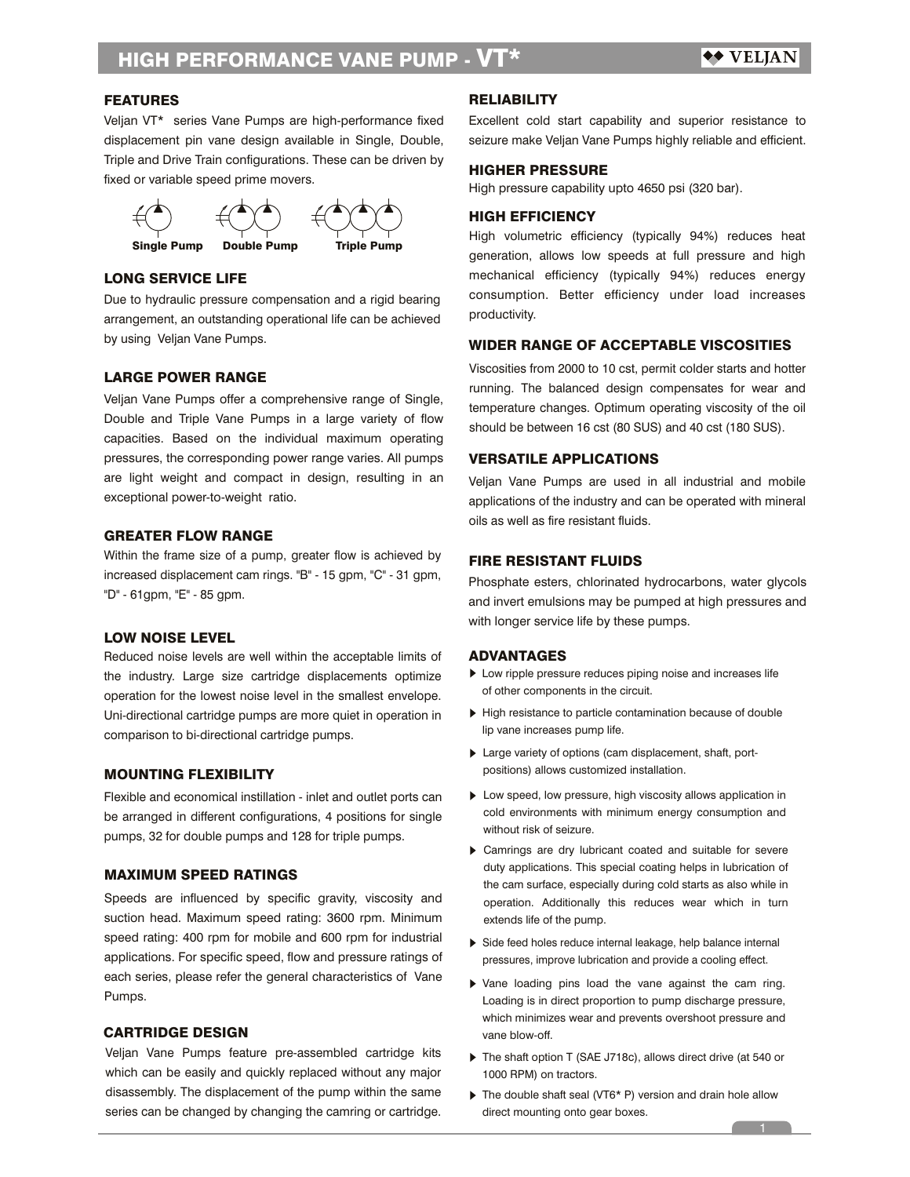### FEATURES

Veljan VT\* series Vane Pumps are high-performance fixed displacement pin vane design available in Single, Double, Triple and Drive Train configurations. These can be driven by fixed or variable speed prime movers.



# LONG SERVICE LIFE

Due to hydraulic pressure compensation and a rigid bearing arrangement, an outstanding operational life can be achieved by using Veljan Vane Pumps.

# LARGE POWER RANGE

Veljan Vane Pumps offer a comprehensive range of Single, Double and Triple Vane Pumps in a large variety of flow capacities. Based on the individual maximum operating pressures, the corresponding power range varies. All pumps are light weight and compact in design, resulting in an exceptional power-to-weight ratio.

#### GREATER FLOW RANGE

Within the frame size of a pump, greater flow is achieved by increased displacement cam rings. "B" - 15 gpm, "C" - 31 gpm, "D" - 61gpm, "E" - 85 gpm.

# LOW NOISE LEVEL

Reduced noise levels are well within the acceptable limits of the industry. Large size cartridge displacements optimize operation for the lowest noise level in the smallest envelope. Uni-directional cartridge pumps are more quiet in operation in comparison to bi-directional cartridge pumps.

### MOUNTING FLEXIBILITY

Flexible and economical instillation - inlet and outlet ports can be arranged in different configurations, 4 positions for single pumps, 32 for double pumps and 128 for triple pumps.

# MAXIMUM SPEED RATINGS

Speeds are influenced by specific gravity, viscosity and suction head. Maximum speed rating: 3600 rpm. Minimum speed rating: 400 rpm for mobile and 600 rpm for industrial applications. For specific speed, flow and pressure ratings of each series, please refer the general characteristics of Vane Pumps.

### CARTRIDGE DESIGN

Veljan Vane Pumps feature pre-assembled cartridge kits which can be easily and quickly replaced without any major disassembly. The displacement of the pump within the same series can be changed by changing the camring or cartridge.

### **RELIABILITY**

Excellent cold start capability and superior resistance to seizure make Veljan Vane Pumps highly reliable and efficient.

# HIGHER PRESSURE

High pressure capability upto 4650 psi (320 bar).

### HIGH EFFICIENCY

High volumetric efficiency (typically 94%) reduces heat generation, allows low speeds at full pressure and high mechanical efficiency (typically 94%) reduces energy consumption. Better efficiency under load increases productivity.

# WIDER RANGE OF ACCEPTABLE VISCOSITIES

Viscosities from 2000 to 10 cst, permit colder starts and hotter running. The balanced design compensates for wear and temperature changes. Optimum operating viscosity of the oil should be between 16 cst (80 SUS) and 40 cst (180 SUS).

### VERSATILE APPLICATIONS

Veljan Vane Pumps are used in all industrial and mobile applications of the industry and can be operated with mineral oils as well as fire resistant fluids.

### FIRE RESISTANT FLUIDS

Phosphate esters, chlorinated hydrocarbons, water glycols and invert emulsions may be pumped at high pressures and with longer service life by these pumps.

### ADVANTAGES

- Low ripple pressure reduces piping noise and increases life of other components in the circuit.
- High resistance to particle contamination because of double lip vane increases pump life.
- Large variety of options (cam displacement, shaft, portpositions) allows customized installation.
- ▶ Low speed, low pressure, high viscosity allows application in cold environments with minimum energy consumption and without risk of seizure.
- Camrings are dry lubricant coated and suitable for severe duty applications. This special coating helps in lubrication of the cam surface, especially during cold starts as also while in operation. Additionally this reduces wear which in turn extends life of the pump.
- Side feed holes reduce internal leakage, help balance internal pressures, improve lubrication and provide a cooling effect.
- Vane loading pins load the vane against the cam ring. Loading is in direct proportion to pump discharge pressure, which minimizes wear and prevents overshoot pressure and vane blow-off.
- ▶ The shaft option T (SAE J718c), allows direct drive (at 540 or 1000 RPM) on tractors.
- ▶ The double shaft seal (VT6\* P) version and drain hole allow direct mounting onto gear boxes.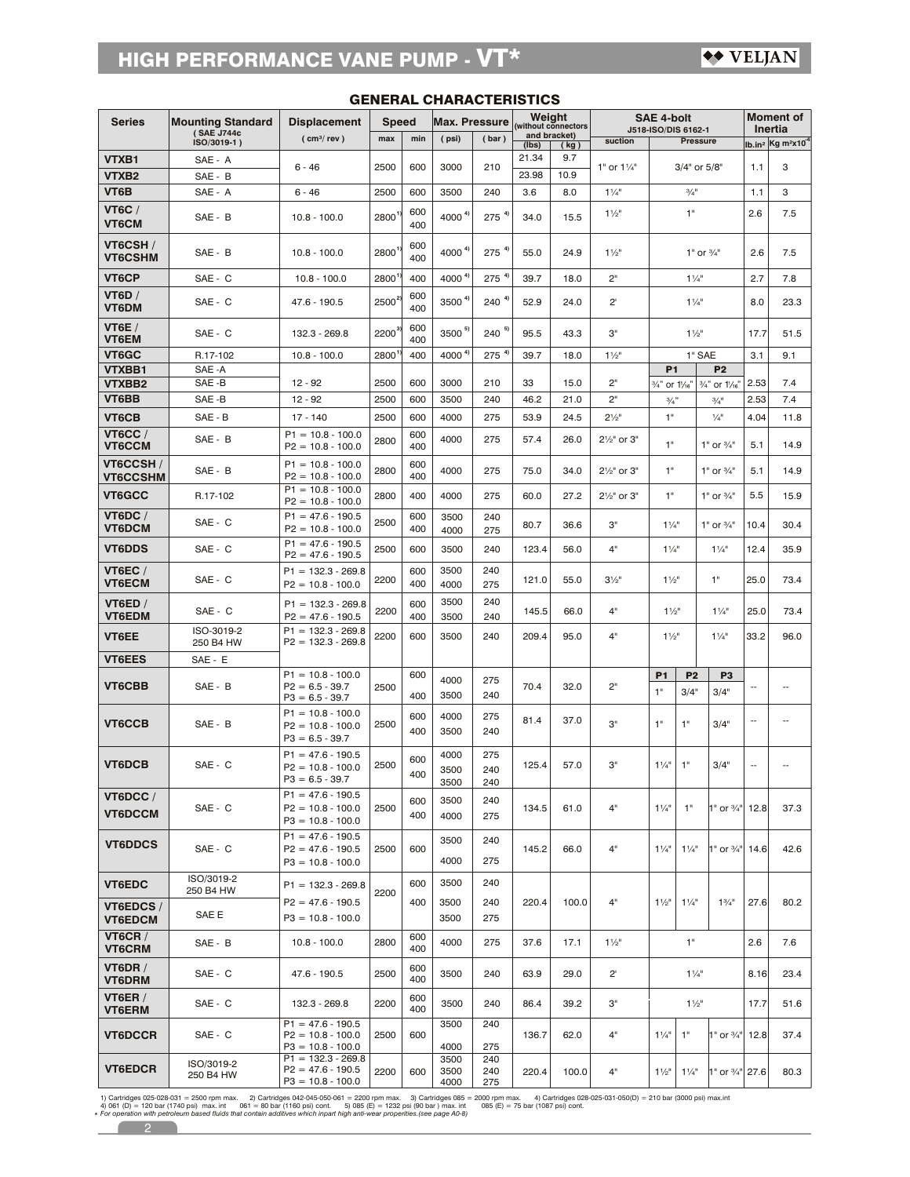| <b>Series</b>                   | <b>Mounting Standard</b>  | <b>Displacement</b>                                                | <b>Speed</b>      |            | <b>Max. Pressure</b> |                   | Weight<br>without connectors |                      |                          | <b>SAE 4-bolt</b>                             |                        |                                 | <b>Moment of</b><br>Inertia |                                              |  |
|---------------------------------|---------------------------|--------------------------------------------------------------------|-------------------|------------|----------------------|-------------------|------------------------------|----------------------|--------------------------|-----------------------------------------------|------------------------|---------------------------------|-----------------------------|----------------------------------------------|--|
|                                 | (SAE J744c<br>ISO/3019-1) | ( cm <sup>3</sup> / rev )                                          | max               | min        | (psi)                | (bar)             | (Ibs)                        | and bracket)<br>(kg) | suction                  | J518-ISO/DIS 6162-1                           | <b>Pressure</b>        |                                 |                             | $lb.in^2$ Kg m <sup>2</sup> x10 <sup>4</sup> |  |
| VTXB1                           | SAE - A                   | $6 - 46$                                                           | 2500              | 600        | 3000                 | 210               | 21.34                        | 9.7                  | 1" or $1\frac{1}{4}$ "   |                                               | 3/4" or 5/8"           |                                 |                             | 3                                            |  |
| VTXB <sub>2</sub>               | SAE - B                   |                                                                    |                   |            |                      |                   | 23.98                        | 10.9                 |                          |                                               |                        |                                 | 1.1                         |                                              |  |
| VT6B                            | SAE - A                   | $6 - 46$                                                           | 2500              | 600        | 3500                 | 240               | 3.6                          | 8.0                  | $1\frac{1}{4}$           |                                               | $\frac{3}{4}$ "        |                                 | 1.1                         | 3                                            |  |
| <b>VT6C /</b><br><b>VT6CM</b>   | SAE - B                   | $10.8 - 100.0$                                                     | 2800              | 600<br>400 | 4000 $4$             | $275^{4}$         | 34.0                         | 15.5                 | $1\frac{1}{2}$           |                                               | 1"                     |                                 | 2.6                         | 7.5                                          |  |
| VT6CSH/<br><b>VT6CSHM</b>       | SAE - B                   | $10.8 - 100.0$                                                     | 2800 <sup>1</sup> | 600<br>400 | 4000 $4$             | $275^{4}$         | 55.0                         | 24.9                 | $1\frac{1}{2}$           |                                               |                        | 1" or $\frac{3}{4}$ "           | 2.6                         | 7.5                                          |  |
| VT6CP                           | SAE - C                   | $10.8 - 100.0$                                                     | 2800              | 400        | 4000 4               | $275^{4}$         | 39.7                         | 18.0                 | 2"                       |                                               | $1\frac{1}{4}$         |                                 | 2.7                         | 7.8                                          |  |
| VT6D /<br>VT6DM                 | SAE - C                   | 47.6 - 190.5                                                       | $2500^3$          | 600<br>400 | 3500 <sup>4]</sup>   | $240^{4}$         | 52.9                         | 24.0                 | $2^{\circ}$              |                                               | $1\frac{1}{4}$         |                                 | 8.0                         | 23.3                                         |  |
| <b>VT6E</b> /<br>VT6EM          | SAE - C                   | 132.3 - 269.8                                                      | $2200^3$          | 600<br>400 | $3500$ <sup>5)</sup> | $240^{5}$         | 95.5                         | 43.3                 | З"                       |                                               | $1\frac{1}{2}$         |                                 | 17.7                        | 51.5                                         |  |
| <b>VT6GC</b>                    | R.17-102                  | $10.8 - 100.0$                                                     | 2800              | 400        | 4000 4               | $275^{4}$         | 39.7                         | 18.0                 | $1\frac{1}{2}$           |                                               | 1" SAE                 |                                 | 3.1                         | 9.1                                          |  |
| <b>VTXBB1</b><br>VTXBB2         | SAE-A<br>SAE-B            | $12 - 92$                                                          | 2500              | 600        | 3000                 | 210               | 33                           | 15.0                 | 2"                       | <b>P1</b><br>3/4" or 1/16"                    |                        | P <sub>2</sub><br>3/4" or 1/16" | 2.53                        | 7.4                                          |  |
| VT6BB                           | SAE-B                     | $12 - 92$                                                          | 2500              | 600        | 3500                 | 240               | 46.2                         | 21.0                 | 2"                       | 3/4"                                          |                        | $\frac{3}{4}$                   | 2.53                        | 7.4                                          |  |
| VT6CB                           | SAE - B                   | $17 - 140$                                                         | 2500              | 600        | 4000                 | 275               | 53.9                         | 24.5                 | $2\frac{1}{2}$ "         | 1"                                            |                        | $\frac{1}{4}$                   | 4.04                        | 11.8                                         |  |
| <b>VT6CC/</b><br>VT6CCM         | SAE - B                   | $P1 = 10.8 - 100.0$<br>$P2 = 10.8 - 100.0$                         | 2800              | 600<br>400 | 4000                 | 275               | 57.4                         | 26.0                 | 21/ <sub>2</sub> " or 3" | 1"                                            |                        | 1" or $\frac{3}{4}$ "           | 5.1                         | 14.9                                         |  |
| VT6CCSH /<br><b>VT6CCSHM</b>    | SAE - B                   | $P1 = 10.8 - 100.0$<br>$P2 = 10.8 - 100.0$                         | 2800              | 600<br>400 | 4000                 | 275               | 75.0                         | 34.0                 | 21/2" or 3"              | 1"                                            |                        | 1" or 3/4"                      | 5.1                         | 14.9                                         |  |
| VT6GCC                          | R.17-102                  | $P1 = 10.8 - 100.0$<br>$P2 = 10.8 - 100.0$                         | 2800              | 400        | 4000                 | 275               | 60.0                         | 27.2                 | 21/2" or 3"              | 1"                                            |                        | 1" or $\frac{3}{4}$ "           | 5.5                         | 15.9                                         |  |
| VT6DC /<br><b>VT6DCM</b>        | SAE - C                   | $P1 = 47.6 - 190.5$<br>$P2 = 10.8 - 100.0$                         | 2500              | 600<br>400 | 3500<br>4000         | 240<br>275        | 80.7                         | 36.6                 | з"                       | $1\frac{1}{4}$                                |                        | 1" or $\frac{3}{4}$ "           | 10.4                        | 30.4                                         |  |
| <b>VT6DDS</b>                   | SAE - C                   | $P1 = 47.6 - 190.5$<br>$P2 = 47.6 - 190.5$                         | 2500              | 600        | 3500                 | 240               | 123.4                        | 56.0                 | 4"                       | $1\frac{1}{4}$                                |                        | $1\frac{1}{4}$                  | 12.4                        | 35.9                                         |  |
| <b>VT6EC /</b><br><b>VT6ECM</b> | SAE - C                   | $P1 = 132.3 - 269.8$<br>$P2 = 10.8 - 100.0$                        | 2200              | 600<br>400 | 3500<br>4000         | 240<br>275        | 121.0                        | 55.0                 | $3\frac{1}{2}$           | $1\frac{1}{2}$                                |                        | 1"                              | 25.0                        | 73.4                                         |  |
| <b>VT6ED /</b><br><b>VT6EDM</b> | SAE - C                   | $P1 = 132.3 - 269.8$<br>$P2 = 47.6 - 190.5$                        | 2200              | 600<br>400 | 3500<br>3500         | 240<br>240        | 145.5                        | 66.0                 | 4"                       | $1\frac{1}{2}$                                |                        | $1\frac{1}{4}$                  | 25.0                        | 73.4                                         |  |
| VT6EE                           | ISO-3019-2<br>250 B4 HW   | $P1 = 132.3 - 269.8$<br>$P2 = 132.3 - 269.8$                       | 2200              | 600        | 3500                 | 240               | 209.4                        | 95.0                 | 4"                       | $1\frac{1}{2}$                                |                        | $1\frac{1}{4}$                  | 33.2                        | 96.0                                         |  |
| <b>VT6EES</b>                   | SAE - E                   |                                                                    |                   |            |                      |                   |                              |                      |                          |                                               |                        |                                 |                             |                                              |  |
| VT6CBB                          | SAE - B                   | $P1 = 10.8 - 100.0$<br>$P2 = 6.5 - 39.7$<br>$P3 = 6.5 - 39.7$      | 2500              | 600<br>400 | 4000<br>3500         | 275<br>240        | 70.4                         | 32.0                 | 2"                       | P <sub>1</sub><br>1"                          | P <sub>2</sub><br>3/4" | P <sub>3</sub><br>3/4"          | $\overline{a}$              | --                                           |  |
| VT6CCB                          | SAE - B                   | $P1 = 10.8 - 100.0$<br>$P2 = 10.8 - 100.0$<br>$P3 = 6.5 - 39.7$    | 2500              | 600<br>400 | 4000<br>3500         | 275<br>240        | 81.4                         | 37.0                 | З"                       | 1"                                            | 1"                     | 3/4"                            |                             |                                              |  |
| VT6DCB                          | SAE - C                   | $P1 = 47.6 - 190.5$<br>$P2 = 10.8 - 100.0$<br>$P3 = 6.5 - 39.7$    | 2500              | 600<br>400 | 4000<br>3500<br>3500 | 275<br>240<br>240 | 125.4                        | 57.0                 | З"                       | $1\frac{1}{4}$                                | 1"                     | 3/4"                            |                             |                                              |  |
| VT6DCC/<br>VT6DCCM              | SAE - C                   | $P1 = 47.6 - 190.5$<br>$P2 = 10.8 - 100.0$<br>$P3 = 10.8 - 100.0$  | 2500              | 600<br>400 | 3500<br>4000         | 240<br>275        | 134.5                        | 61.0                 | 4"                       | $1\frac{1}{4}$                                | 1"                     | 1" or 3/4" 12.8                 |                             | 37.3                                         |  |
| <b>VT6DDCS</b>                  | SAE - C                   | $P1 = 47.6 - 190.5$<br>$P2 = 47.6 - 190.5$<br>$P3 = 10.8 - 100.0$  | 2500              | 600        | 3500<br>4000         | 240<br>275        | 145.2                        | 66.0                 | 4"                       | $1\frac{1}{4}$                                | $1\frac{1}{4}$         | 1" or 3/4" 14.6                 |                             | 42.6                                         |  |
| VT6EDC                          | ISO/3019-2<br>250 B4 HW   | $P1 = 132.3 - 269.8$                                               |                   | 600        | 3500                 | 240               |                              |                      |                          |                                               |                        |                                 |                             |                                              |  |
| VT6EDCS/<br>VT6EDCM             | SAE E                     | $P2 = 47.6 - 190.5$<br>$P3 = 10.8 - 100.0$                         | 2200              | 400        | 3500<br>3500         | 240<br>275        | 220.4                        | 100.0                | 4"                       | $1\frac{1}{2}$                                | $1\frac{1}{4}$         | $1\frac{3}{4}$ "                | 27.6                        | 80.2                                         |  |
| <b>VT6CR /</b>                  | SAE - B                   | $10.8 - 100.0$                                                     | 2800              | 600<br>400 | 4000                 | 275               | 37.6                         | 17.1                 | $1\frac{1}{2}$           | 1"                                            |                        | 2.6                             | 7.6                         |                                              |  |
| <b>VT6CRM</b><br>VT6DR /        | SAE - C                   | 47.6 - 190.5                                                       | 2500              | 600<br>400 | 3500                 | 240               | 63.9                         | 29.0                 | $2^{\circ}$              | $1\frac{1}{4}$                                |                        | 8.16                            | 23.4                        |                                              |  |
| VT6DRM<br>VT6ER /<br>VT6ERM     | SAE - C                   | 132.3 - 269.8                                                      | 2200              | 600<br>400 | 3500                 | 240               | 86.4                         | 39.2                 | З"                       | $1\frac{1}{2}$                                |                        | 17.7                            | 51.6                        |                                              |  |
| <b>VT6DCCR</b>                  | SAE - C                   | $P1 = 47.6 - 190.5$<br>$P2 = 10.8 - 100.0$                         | 2500              | 600        | 3500                 | 240               | 136.7                        | 62.0                 | 4"                       | $1\frac{1}{4}$<br>1"<br>1" or $\frac{3}{4}$ " |                        | 12.8                            | 37.4                        |                                              |  |
| <b>VT6EDCR</b>                  | ISO/3019-2                | $P3 = 10.8 - 100.0$<br>$P1 = 132.3 - 269.8$<br>$P2 = 47.6 - 190.5$ |                   |            | 4000<br>3500         | 275<br>240        |                              |                      |                          |                                               |                        |                                 |                             |                                              |  |
|                                 | 250 B4 HW                 | $P3 = 10.8 - 100.0$                                                | 2200              | 600        | 3500<br>4000         | 240<br>275        | 220.4                        | 100.0                | 4"                       | $1\frac{1}{2}$                                | $1\frac{1}{4}$         | 1" or 3/4" 27.6                 |                             | 80.3                                         |  |

# GENERAL CHARACTERISTICS

2 1) Cartridges 025-028-031 = 2500 rpm max. 2) Cartridges 042-045-050-061 = 2200 rpm max. 3) Cartridges 085 = 2000 rpm max. 4) Cartridges 02<br>4) 061 (D) = 120 bar (1740 psi) max. int 061 = 80 bar (1160 psi) cont. 5) 085 \*

 $\sqrt{2}$ 

2) Cartridges 042-045-050-061 = 2200 rpm max. 3) Cartridges 085 = 2000 rpm max. 4) Cartridges 028-025-031-050(D) = 210 bar (3000 psi) max.int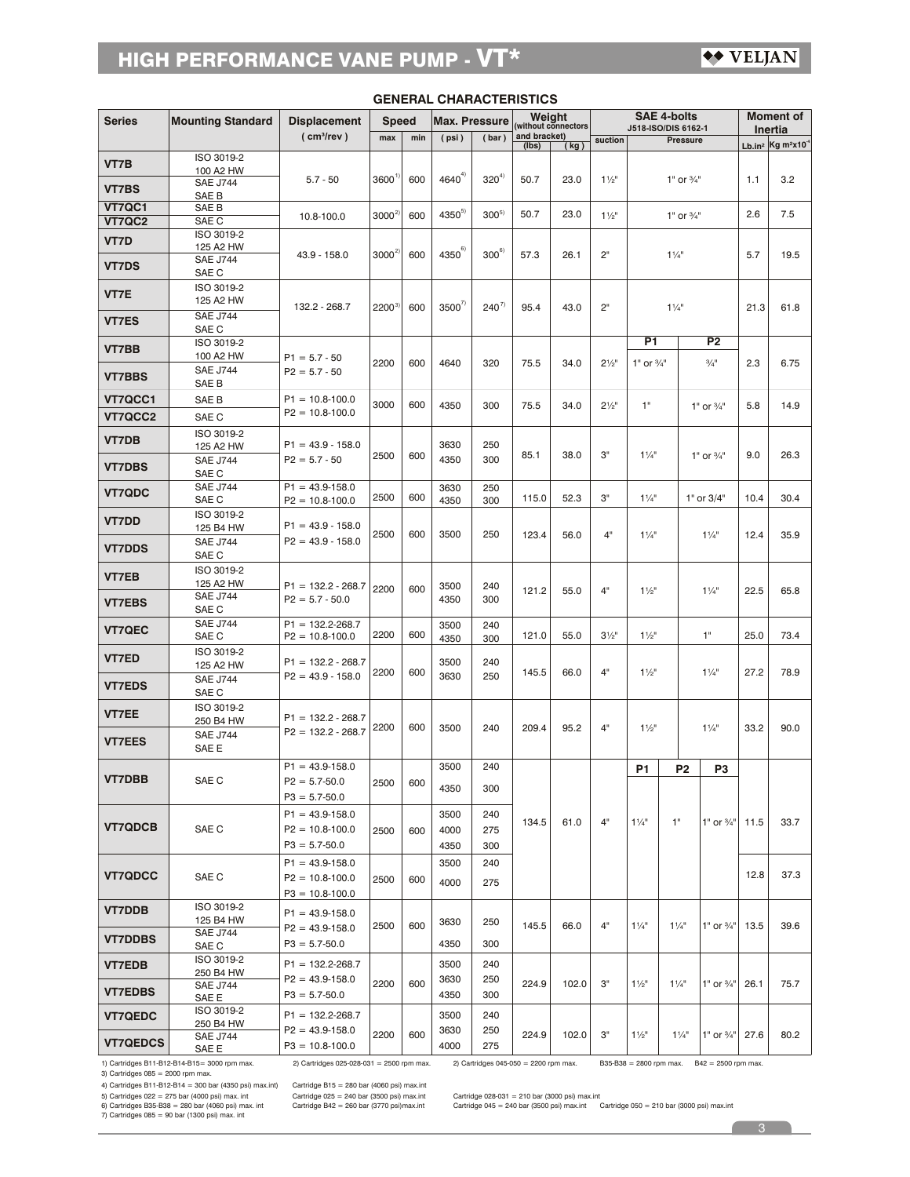# $\leftrightarrow$  VELJAN

| <b>Series</b>                  | <b>Mounting Standard</b>                     | <b>Displacement</b>                         | <b>Speed</b> |     | <b>Max. Pressure</b> |                                       |                       | Weight<br>(without connectors | <b>SAE 4-bolts</b><br>J518-ISO/DIS 6162-1 |                                  |                       |                             | <b>Moment of</b><br>Inertia |                                          |
|--------------------------------|----------------------------------------------|---------------------------------------------|--------------|-----|----------------------|---------------------------------------|-----------------------|-------------------------------|-------------------------------------------|----------------------------------|-----------------------|-----------------------------|-----------------------------|------------------------------------------|
|                                |                                              | ( cm <sup>3</sup> /rev )                    | max          | min | (psi)                | (bar)                                 | and bracket)<br>(Ibs) | (kg)                          | suction                                   |                                  | <b>Pressure</b>       |                             |                             | Lb.in <sup>2</sup> Kg m <sup>2</sup> x10 |
| VT7B                           | ISO 3019-2                                   |                                             |              |     |                      |                                       |                       |                               |                                           |                                  |                       |                             |                             |                                          |
|                                | 100 A2 HW<br><b>SAE J744</b>                 | $5.7 - 50$                                  | 3600         | 600 | $4640^{4}$           | $320^{4)}$                            | 50.7                  | 23.0                          | $1\frac{1}{2}$                            |                                  | 1" or $\frac{3}{4}$ " |                             | 1.1                         | 3.2                                      |
| <b>VT7BS</b>                   | SAE B                                        |                                             |              |     |                      |                                       |                       |                               |                                           |                                  |                       |                             |                             |                                          |
| <b>VT7QC1</b><br><b>VT7QC2</b> | SAE B<br>SAE C                               | 10.8-100.0                                  | $3000^{2}$   | 600 | $4350^{5}$           | $300^{5}$                             | 50.7                  | 23.0                          | $1\frac{1}{2}$                            | 1" or $\frac{3}{4}$ "            |                       |                             | 2.6                         | 7.5                                      |
| VT7D                           | ISO 3019-2                                   |                                             |              |     |                      |                                       |                       |                               |                                           |                                  |                       |                             |                             |                                          |
|                                | 125 A2 HW<br><b>SAE J744</b>                 | 43.9 - 158.0                                | $3000^{2}$   | 600 | $4350^{6}$           | $300^{\circ}$                         | 57.3                  | 26.1                          | 2"                                        |                                  | $1\frac{1}{4}$        |                             | 5.7                         | 19.5                                     |
| <b>VT7DS</b>                   | SAE C                                        |                                             |              |     |                      |                                       |                       |                               |                                           |                                  |                       |                             |                             |                                          |
| VT7E                           | ISO 3019-2<br>125 A2 HW                      |                                             |              |     |                      |                                       |                       |                               |                                           |                                  |                       |                             |                             |                                          |
| <b>VT7ES</b>                   | <b>SAE J744</b>                              | 132.2 - 268.7                               | $2200^{3}$   | 600 | $3500^{7}$           | $240^{7}$                             | 95.4                  | 43.0                          | 2"                                        |                                  | $1\frac{1}{4}$        |                             | 21.3                        | 61.8                                     |
|                                | SAE C                                        |                                             |              |     |                      |                                       |                       |                               |                                           | P1                               |                       | P2                          |                             |                                          |
| VT7BB                          | ISO 3019-2<br>100 A2 HW                      | $P1 = 5.7 - 50$                             |              |     |                      |                                       |                       |                               |                                           |                                  |                       |                             |                             |                                          |
| <b>VT7BBS</b>                  | <b>SAE J744</b>                              | $P2 = 5.7 - 50$                             | 2200         | 600 | 4640                 | 320                                   | 75.5                  | 34.0                          | $2\frac{1}{2}$                            | 1" or $\frac{3}{4}$ "            |                       | $\frac{3}{4}$ <sup>11</sup> | 2.3                         | 6.75                                     |
| VT7QCC1                        | SAE B                                        | $P1 = 10.8 - 100.0$                         |              |     |                      |                                       |                       |                               |                                           |                                  |                       |                             |                             |                                          |
| VT7QCC2                        | SAE B<br>SAE C                               | $P2 = 10.8 - 100.0$                         | 3000         | 600 | 4350                 | 300                                   | 75.5                  | 34.0                          | $2\frac{1}{2}$                            | 1"                               |                       | 1" or $\frac{3}{4}$ "       | 5.8                         | 14.9                                     |
|                                | ISO 3019-2                                   |                                             |              |     |                      |                                       |                       |                               |                                           |                                  |                       |                             |                             |                                          |
| <b>VT7DB</b>                   | 125 A2 HW                                    | $P1 = 43.9 - 158.0$                         | 2500         | 600 | 3630                 | 250                                   | 85.1                  | 38.0                          | З"                                        | $1\frac{1}{4}$                   |                       | 1" or $\frac{3}{4}$ "       | 9.0                         | 26.3                                     |
| <b>VT7DBS</b>                  | <b>SAE J744</b><br>SAE C                     | $P2 = 5.7 - 50$                             |              |     | 4350                 | 300                                   |                       |                               |                                           |                                  |                       |                             |                             |                                          |
| <b>VT7QDC</b>                  | <b>SAE J744</b>                              | $P1 = 43.9 - 158.0$                         |              |     | 3630                 | 250                                   |                       |                               |                                           |                                  |                       |                             |                             |                                          |
|                                | SAE C<br>ISO 3019-2                          | $P2 = 10.8 - 100.0$                         | 2500         | 600 | 4350                 | 300                                   | 115.0                 | 52.3                          | З"                                        | $1\frac{1}{4}$                   |                       | 1" or 3/4"                  | 10.4                        | 30.4                                     |
| <b>VT7DD</b>                   | 125 B4 HW                                    | $P1 = 43.9 - 158.0$                         |              |     |                      |                                       |                       |                               |                                           |                                  |                       |                             |                             |                                          |
| <b>VT7DDS</b>                  | <b>SAE J744</b>                              | $P2 = 43.9 - 158.0$                         | 2500         | 600 | 3500                 | 250                                   | 123.4                 | 56.0                          | 4"                                        | $1\frac{1}{4}$                   |                       | $1\frac{1}{4}$              |                             | 35.9                                     |
|                                | SAE C<br>ISO 3019-2                          |                                             |              |     |                      |                                       |                       |                               |                                           |                                  |                       |                             |                             |                                          |
| VT7EB                          | 125 A2 HW                                    | $P1 = 132.2 - 268.7$                        | 2200         | 600 | 3500                 | 240                                   | 121.2                 |                               | 4"                                        | $1\frac{1}{2}$                   | $1\frac{1}{4}$        |                             | 22.5                        | 65.8                                     |
| <b>VT7EBS</b>                  | <b>SAE J744</b><br>SAE C                     | $P2 = 5.7 - 50.0$                           |              |     | 4350                 | 300                                   |                       | 55.0                          |                                           |                                  |                       |                             |                             |                                          |
|                                | <b>SAE J744</b>                              | $P1 = 132.2 - 268.7$                        |              |     | 3500                 | 240                                   |                       |                               |                                           |                                  |                       |                             |                             |                                          |
| <b>VT7QEC</b>                  | SAE C                                        | $P2 = 10.8 - 100.0$                         | 2200         | 600 | 4350                 | 300                                   | 121.0                 | 55.0                          | $3\frac{1}{2}$                            | $1\frac{1}{2}$                   |                       | 1"                          | 25.0                        | 73.4                                     |
| VT7ED                          | ISO 3019-2<br>125 A2 HW                      | $P1 = 132.2 - 268.7$                        |              |     | 3500                 | 240                                   |                       |                               |                                           |                                  |                       |                             |                             |                                          |
| <b>VT7EDS</b>                  | <b>SAE J744</b>                              | $P2 = 43.9 - 158.0$                         | 2200         | 600 | 3630                 | 250                                   | 145.5                 | 66.0                          | 4"                                        | $1\frac{1}{2}$                   |                       | $1\frac{1}{4}$              | 27.2                        | 78.9                                     |
|                                | SAE C                                        |                                             |              |     |                      |                                       |                       |                               |                                           |                                  |                       |                             |                             |                                          |
| VT7EE                          | ISO 3019-2<br>250 B4 HW                      | $P1 = 132.2 - 268.7$                        |              |     |                      |                                       |                       |                               |                                           |                                  |                       |                             |                             |                                          |
| <b>VT7EES</b>                  | <b>SAE J744</b>                              | $P2 = 132.2 - 268.7$                        | 2200         | 600 | 3500                 | 240                                   | 209.4                 | 95.2                          | 4"                                        | $1\frac{1}{2}$                   |                       | $1\frac{1}{4}$              | 33.2                        | 90.0                                     |
|                                | SAE E                                        |                                             |              |     |                      |                                       |                       |                               |                                           |                                  |                       |                             |                             |                                          |
| <b>VT7DBB</b>                  | SAE C                                        | $P1 = 43.9 - 158.0$<br>$P2 = 5.7 - 50.0$    | 2500         | 600 | 3500                 | 240                                   |                       |                               |                                           | <b>P1</b>                        | P <sub>2</sub>        | P <sub>3</sub>              |                             |                                          |
|                                |                                              | $P3 = 5.7 - 50.0$                           |              |     | 4350                 | 300                                   |                       |                               |                                           |                                  |                       |                             |                             |                                          |
|                                |                                              | $P1 = 43.9 - 158.0$                         |              |     | 3500                 | 240                                   | 134.5                 | 61.0                          | 4"                                        | $1\frac{1}{4}$                   | 1"                    | 1" or $\frac{3}{4}$ "       | 11.5                        | 33.7                                     |
| <b>VT7QDCB</b>                 | SAE C                                        | $P2 = 10.8 - 100.0$                         | 2500         | 600 | 4000                 | 275                                   |                       |                               |                                           |                                  |                       |                             |                             |                                          |
|                                |                                              | $P3 = 5.7 - 50.0$                           |              |     | 4350                 | 300                                   |                       |                               |                                           |                                  |                       |                             |                             |                                          |
| VT7QDCC                        | SAE C                                        | $P1 = 43.9 - 158.0$<br>$P2 = 10.8 - 100.0$  | 2500         | 600 | 3500                 | 240                                   |                       |                               |                                           |                                  |                       |                             | 12.8                        | 37.3                                     |
|                                |                                              | $P3 = 10.8 - 100.0$                         |              |     | 4000                 | 275                                   |                       |                               |                                           |                                  |                       |                             |                             |                                          |
| <b>VT7DDB</b>                  | ISO 3019-2                                   | $P1 = 43.9 - 158.0$                         |              |     |                      |                                       |                       |                               |                                           |                                  |                       |                             |                             |                                          |
|                                | 125 B4 HW<br><b>SAE J744</b>                 | $P2 = 43.9 - 158.0$                         | 2500         | 600 | 3630                 | 250                                   | 145.5                 | 66.0                          | 4"                                        | $1\frac{1}{4}$<br>$1\frac{1}{4}$ |                       | 1" or $\frac{3}{4}$ "       | 13.5                        | 39.6                                     |
| <b>VT7DDBS</b>                 | SAE C                                        | $P3 = 5.7 - 50.0$                           |              |     | 4350                 | 300                                   |                       |                               |                                           |                                  |                       |                             |                             |                                          |
| VT7EDB                         | ISO 3019-2<br>250 B4 HW                      | $P1 = 132.2 - 268.7$                        |              |     | 3500                 | 240                                   |                       |                               |                                           |                                  |                       |                             |                             |                                          |
| <b>VT7EDBS</b>                 | <b>SAE J744</b>                              | $P2 = 43.9 - 158.0$<br>$P3 = 5.7 - 50.0$    | 2200         | 600 | 3630<br>4350         | 250<br>300                            | 224.9                 | 102.0                         | З"                                        | $1\frac{1}{2}$                   | $1\frac{1}{4}$        | 1" or 3/4"                  | 26.1                        | 75.7                                     |
|                                | SAE E<br>ISO 3019-2                          |                                             |              |     |                      |                                       |                       |                               |                                           |                                  |                       |                             |                             |                                          |
| <b>VT7QEDC</b>                 | 250 B4 HW                                    | $P1 = 132.2 - 268.7$<br>$P2 = 43.9 - 158.0$ |              |     | 3500<br>3630         | 240<br>250                            |                       |                               |                                           |                                  |                       |                             |                             |                                          |
| <b>VT7QEDCS</b>                | <b>SAE J744</b><br>SAE E                     | $P3 = 10.8 - 100.0$                         | 2200         | 600 | 4000                 | 275                                   | 224.9                 | 102.0                         | З"                                        | $1\frac{1}{2}$                   | $1\frac{1}{4}$        | 1" or $\frac{3}{4}$ "       | 27.6                        | 80.2                                     |
|                                | 1) Cartridges B11-B12-B14-B15= 3000 rpm max. | 2) Cartridges 025-028-031 = 2500 rpm max.   |              |     |                      | 2) Cartridges 045-050 = 2200 rpm max. |                       |                               |                                           | B35-B38 = 2800 rpm max.          |                       | $B42 = 2500$ rpm max.       |                             |                                          |

### **GENERAL CHARACTERISTICS**

3) Cartridges 085 = 2000 rpm max.

4) Cartridges B11-B12-B14 = 300 bar (4350 psi) max.int) Cartridge B15 = 280 bar (4060 psi) max.int

5) Cartridges 022 = 275 bar (4000 psi) max. int<br>6) Cartridges B35-B38 = 280 bar (4060 psi) max. int<br>7) Cartridges 085 = 90 bar (1300 psi) max. int

Cartridge 025 = 240 bar (3500 psi) max.int<br>Cartridge B42 = 260 bar (3770 psi)max.int

2) Cartridges 045-050 = 2200 rpm max. B35-B38 = 2800 rpm max. B42 = 2500 rpm max.

Cartridge 028-031 = 210 bar (3000 psi) max.int<br>Cartridge 045 = 240 bar (3500 psi) max.int Cartridge 050 = 210 bar (3000 psi) max.int

3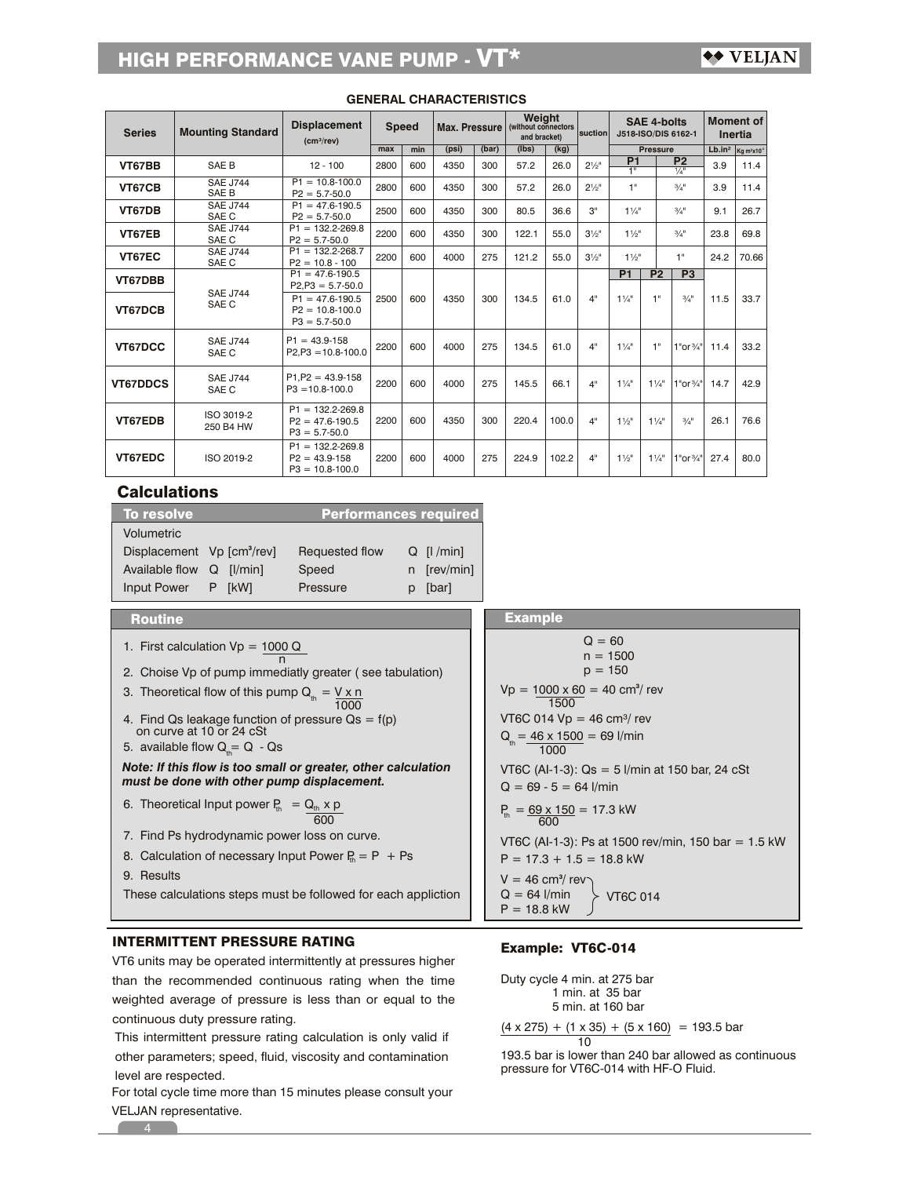| <b>Series</b>   | <b>Mounting Standard</b> | <b>Displacement</b><br>(cm <sup>3</sup> /rev)                    | <b>Speed</b> |     | Max. Pressure |       | Weight<br>(without connectors<br>and bracket) |       | <b>suction</b>   | <b>SAE 4-bolts</b><br>J518-ISO/DIS 6162-1               |                                       |                      | <b>Moment</b> of<br>Inertia |                                     |  |
|-----------------|--------------------------|------------------------------------------------------------------|--------------|-----|---------------|-------|-----------------------------------------------|-------|------------------|---------------------------------------------------------|---------------------------------------|----------------------|-----------------------------|-------------------------------------|--|
|                 |                          |                                                                  | max          | min | (psi)         | (bar) | (lbs)                                         | (kg)  |                  |                                                         | <b>Pressure</b>                       |                      | Lb.in <sup>2</sup>          | Kg m <sup>2</sup> x10 <sup>-4</sup> |  |
| VT67BB          | SAE B                    | $12 - 100$                                                       | 2800         | 600 | 4350          | 300   | 57.2                                          | 26.0  | $2\frac{1}{2}$ " | P <sub>1</sub><br>P <sub>2</sub><br>H.<br>$\frac{1}{4}$ |                                       | 3.9                  | 11.4                        |                                     |  |
| VT67CB          | <b>SAE J744</b><br>SAE B | $P1 = 10.8 - 100.0$<br>$P2 = 5.7 - 50.0$                         | 2800         | 600 | 4350          | 300   | 57.2                                          | 26.0  | $2\frac{1}{2}$ " | 1"                                                      |                                       | $3/4$ <sup>11</sup>  | 3.9                         | 11.4                                |  |
| VT67DB          | <b>SAE J744</b><br>SAE C | $P1 = 47.6 - 190.5$<br>$P2 = 5.7 - 50.0$                         | 2500         | 600 | 4350          | 300   | 80.5                                          | 36.6  | 3"               | $1^{1}/4"$                                              |                                       | $3/4$ <sup>11</sup>  | 9.1                         | 26.7                                |  |
| VT67EB          | <b>SAE J744</b><br>SAE C | $P1 = 132.2 - 269.8$<br>$P2 = 5.7 - 50.0$                        | 2200         | 600 | 4350          | 300   | 122.1                                         | 55.0  | $3\frac{1}{9}$ " | $1\frac{1}{2}$                                          |                                       | $3/4$ <sup>11</sup>  | 23.8                        | 69.8                                |  |
| VT67EC          | <b>SAE J744</b><br>SAE C | $P1 = 132.2 - 268.7$<br>$P2 = 10.8 - 100$                        | 2200         | 600 | 4000          | 275   | 121.2                                         | 55.0  | $3\frac{1}{2}$ " | $1\frac{1}{2}$ "                                        |                                       | 1"                   | 24.2                        | 70.66                               |  |
| VT67DBB         |                          | $P1 = 47.6 - 190.5$<br>$P2, P3 = 5.7 - 50.0$                     |              |     |               |       |                                               |       |                  | P <sub>1</sub>                                          | P <sub>2</sub>                        | P <sub>3</sub>       |                             |                                     |  |
| VT67DCB         | <b>SAE J744</b><br>SAE C | $P1 = 47.6 - 190.5$<br>$P2 = 10.8 - 100.0$<br>$P3 = 5.7 - 50.0$  | 2500         | 600 | 4350          | 300   | 134.5                                         | 61.0  | 4"               | $1\frac{1}{4}$                                          | 1"                                    | $3/4$ <sup>11</sup>  | 11.5                        | 33.7                                |  |
| VT67DCC         | <b>SAE J744</b><br>SAE C | $P1 = 43.9 - 158$<br>$P2.P3 = 10.8 - 100.0$                      | 2200         | 600 | 4000          | 275   | 134.5                                         | 61.0  | 4"               | 11/4"                                                   | 1"                                    | 1"or3/4"             | 11.4                        | 33.2                                |  |
| <b>VT67DDCS</b> | <b>SAE J744</b><br>SAE C | $P1.P2 = 43.9 - 158$<br>$P3 = 10.8 - 100.0$                      | 2200         | 600 | 4000          | 275   | 145.5                                         | 66.1  | 4"               | $1\frac{1}{4}$                                          | $1\frac{1}{4}$                        | 1"or <sup>3/4"</sup> | 14.7                        | 42.9                                |  |
| VT67EDB         | ISO 3019-2<br>250 B4 HW  | $P1 = 132.2 - 269.8$<br>$P2 = 47.6 - 190.5$<br>$P3 = 5.7 - 50.0$ | 2200         | 600 | 4350          | 300   | 220.4                                         | 100.0 | 4"               | $1\frac{1}{2}$                                          | $1\frac{1}{4}$<br>$3/4$ <sup>11</sup> |                      | 26.1                        | 76.6                                |  |
| VT67EDC         | ISO 2019-2               | $P1 = 132.2 - 269.8$<br>$P2 = 43.9 - 158$<br>$P3 = 10.8 - 100.0$ | 2200         | 600 | 4000          | 275   | 224.9                                         | 102.2 | 4"               | $1\frac{1}{2}$                                          | $1\frac{1}{4}$                        | 1"or <sup>3/4"</sup> | 27.4                        | 80.0                                |  |
|                 | Calculatione             |                                                                  |              |     |               |       |                                               |       |                  |                                                         |                                       |                      |                             |                                     |  |

### **GENERAL CHARACTERISTICS**

# Calculations

| To resolve                             |        | <b>Performances required</b> |                 |
|----------------------------------------|--------|------------------------------|-----------------|
| Volumetric                             |        |                              |                 |
| Displacement Vp [cm <sup>3</sup> /rev] |        | Requested flow               | $Q$ [ $ /min$ ] |
| Available flow Q [I/min]               |        | Speed                        | n [rev/min]     |
| <b>Input Power</b>                     | P [kW] | Pressure                     | [bar]           |

# Routine

1. First calculation  $Vp = 1000 Q$ n

2. Choise Vp of pump immediatly greater ( see tabulation)

3. Theoretical flow of this pump 
$$
Q_{\text{th}} = \frac{V \times n}{1000}
$$

- 4. Find Qs leakage function of pressure  $Qs = f(p)$ on curve at 10 or 24 cSt
- 5. available flow  $\mathsf{Q}_{\scriptscriptstyle \sf th} = \mathsf{Q}$  Qs

*Note: If this flow is too small or greater, other calculation must be done with other pump displacement.*

- 6. Theoretical Input power  $P_{th} = Q_{th} \times p_{th}$ 600
- 7. Find Ps hydrodynamic power loss on curve.
- 8. Calculation of necessary Input Power  $P_{th} = P + Ps$
- 9. Results
- These calculations steps must be followed for each appliction

# INTERMITTENT PRESSURE RATING

VT6 units may be operated intermittently at pressures higher than the recommended continuous rating when the time weighted average of pressure is less than or equal to the continuous duty pressure rating.

This intermittent pressure rating calculation is only valid if other parameters; speed, fluid, viscosity and contamination level are respected.

For total cycle time more than 15 minutes please consult your VELJAN representative.

# Example: VT6C-014

Example

 $Vp = 1000 \times 60 = 40 \text{ cm}^3/\text{rev}$ 

 $p = 150$ 

 $Q = 60$  $n = 1500$ 

 $Q_{\text{th}} = 46 \times 1500 = 69$  l/min

 $VTC$  014  $Vp = 46$  cm<sup>3</sup>/ rev

 $Q = 69 - 5 = 64$  l/min

1000

1500

 $P_{th} = \frac{69 \times 150}{600} = 17.3$  kW

 $P = 17.3 + 1.5 = 18.8$  kW

 $V = 46$  cm<sup>3</sup>/ rev

 $Q = 64$  l/min  $P = 18.8$  kW

 1 min. at 35 bar 5 min. at 160 bar Duty cycle 4 min. at 275 bar  $(4 \times 275) + (1 \times 35) + (5 \times 160) = 193.5$  bar

10

VT6C (AI-1-3): Qs = 5 l/min at 150 bar, 24 cSt

VT6C (AI-1-3): Ps at 1500 rev/min, 150 bar = 1.5 kW

VT6C 014

pressure for VT6C-014 with HF-O Fluid. 193.5 bar is lower than 240 bar allowed as continuous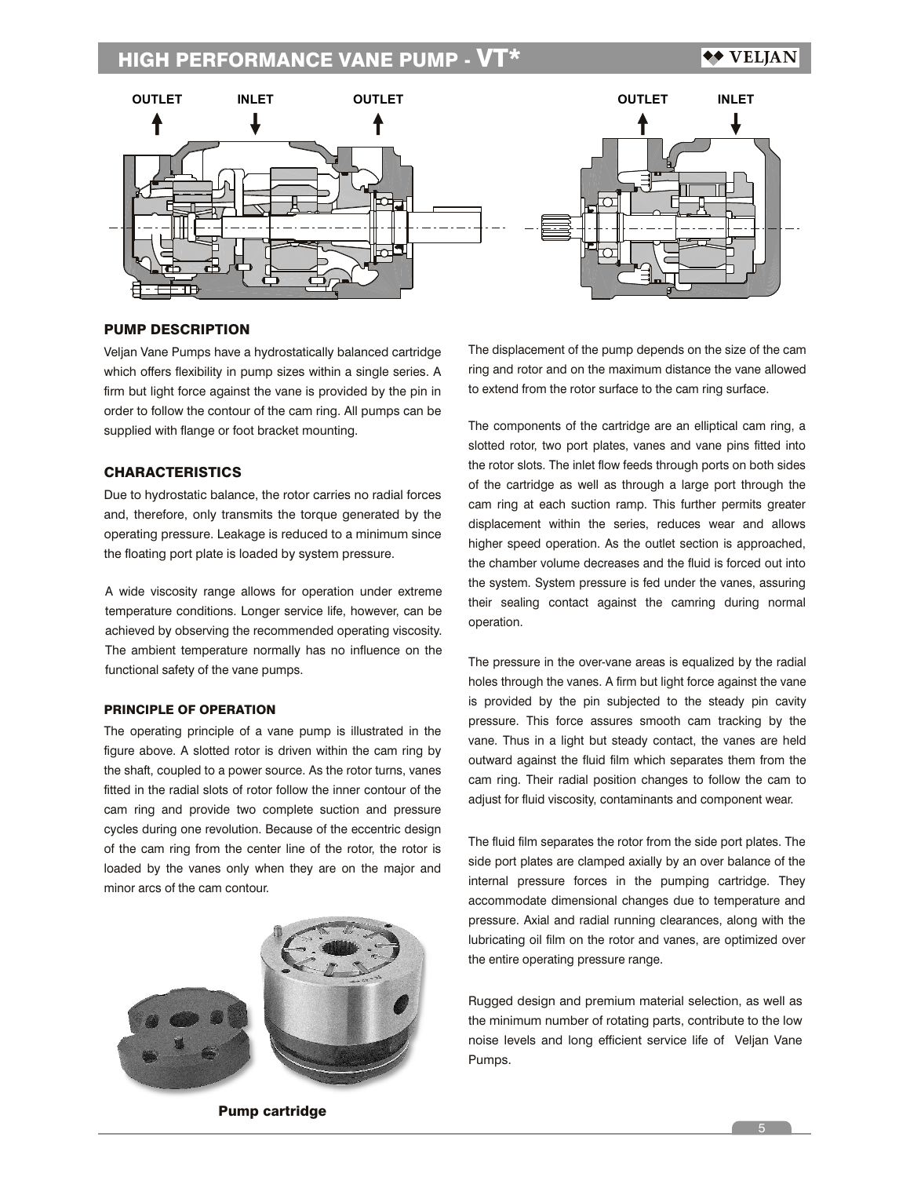

# PUMP DESCRIPTION

Veljan Vane Pumps have a hydrostatically balanced cartridge which offers flexibility in pump sizes within a single series. A firm but light force against the vane is provided by the pin in order to follow the contour of the cam ring. All pumps can be supplied with flange or foot bracket mounting.

## **CHARACTERISTICS**

Due to hydrostatic balance, the rotor carries no radial forces and, therefore, only transmits the torque generated by the operating pressure. Leakage is reduced to a minimum since the floating port plate is loaded by system pressure.

A wide viscosity range allows for operation under extreme temperature conditions. Longer service life, however, can be achieved by observing the recommended operating viscosity. The ambient temperature normally has no influence on the functional safety of the vane pumps.

### PRINCIPLE OF OPERATION

The operating principle of a vane pump is illustrated in the figure above. A slotted rotor is driven within the cam ring by the shaft, coupled to a power source. As the rotor turns, vanes fitted in the radial slots of rotor follow the inner contour of the cam ring and provide two complete suction and pressure cycles during one revolution. Because of the eccentric design of the cam ring from the center line of the rotor, the rotor is loaded by the vanes only when they are on the major and minor arcs of the cam contour.



Pump cartridge

The displacement of the pump depends on the size of the cam ring and rotor and on the maximum distance the vane allowed to extend from the rotor surface to the cam ring surface.

The components of the cartridge are an elliptical cam ring, a slotted rotor, two port plates, vanes and vane pins fitted into the rotor slots. The inlet flow feeds through ports on both sides of the cartridge as well as through a large port through the cam ring at each suction ramp. This further permits greater displacement within the series, reduces wear and allows higher speed operation. As the outlet section is approached, the chamber volume decreases and the fluid is forced out into the system. System pressure is fed under the vanes, assuring their sealing contact against the camring during normal operation.

The pressure in the over-vane areas is equalized by the radial holes through the vanes. A firm but light force against the vane is provided by the pin subjected to the steady pin cavity pressure. This force assures smooth cam tracking by the vane. Thus in a light but steady contact, the vanes are held outward against the fluid film which separates them from the cam ring. Their radial position changes to follow the cam to adjust for fluid viscosity, contaminants and component wear.

The fluid film separates the rotor from the side port plates. The side port plates are clamped axially by an over balance of the internal pressure forces in the pumping cartridge. They accommodate dimensional changes due to temperature and pressure. Axial and radial running clearances, along with the lubricating oil film on the rotor and vanes, are optimized over the entire operating pressure range.

Rugged design and premium material selection, as well as the minimum number of rotating parts, contribute to the low noise levels and long efficient service life of Veljan Vane Pumps.

 $5<sub>5</sub>$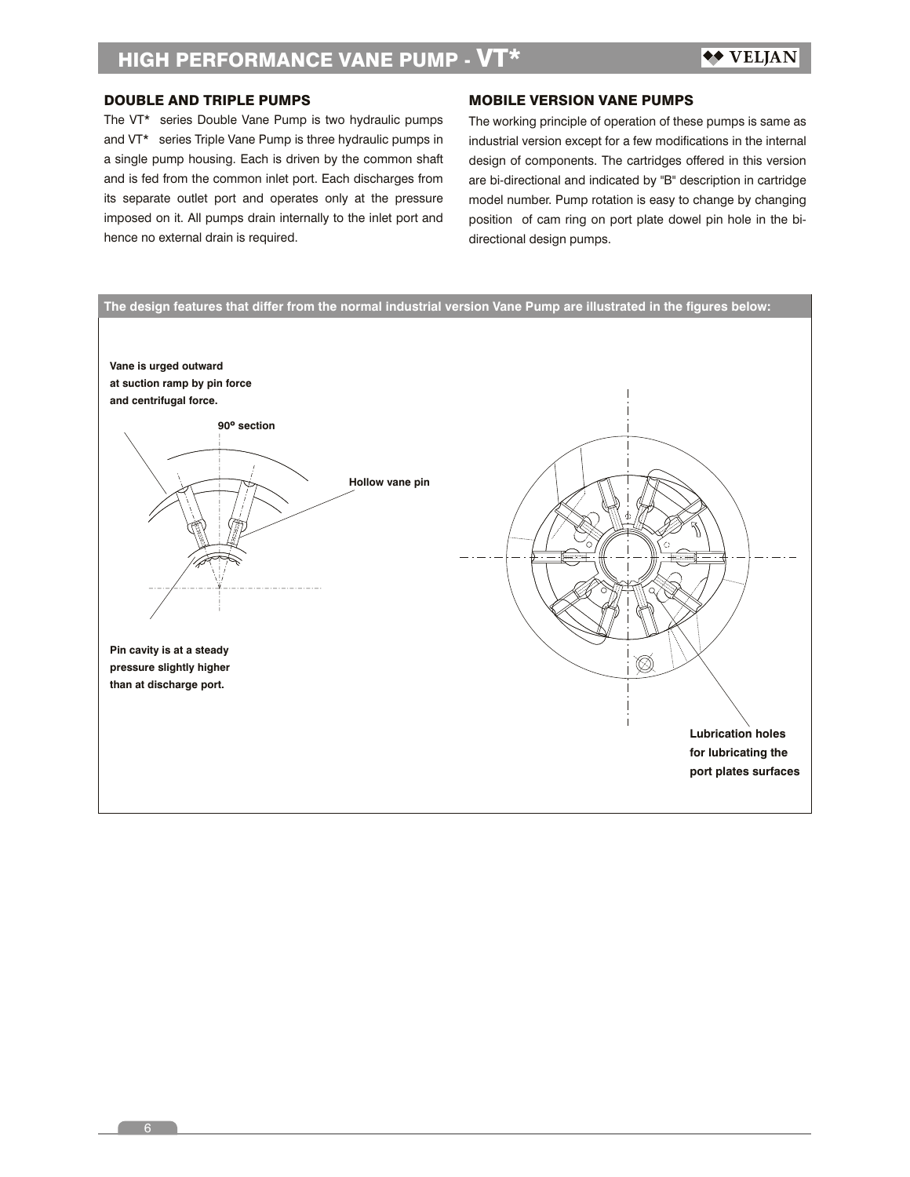# DOUBLE AND TRIPLE PUMPS

The VT\* series Double Vane Pump is two hydraulic pumps and VT\* series Triple Vane Pump is three hydraulic pumps in a single pump housing. Each is driven by the common shaft and is fed from the common inlet port. Each discharges from its separate outlet port and operates only at the pressure imposed on it. All pumps drain internally to the inlet port and hence no external drain is required.

### MOBILE VERSION VANE PUMPS

The working principle of operation of these pumps is same as industrial version except for a few modifications in the internal design of components. The cartridges offered in this version are bi-directional and indicated by "B" description in cartridge model number. Pump rotation is easy to change by changing position of cam ring on port plate dowel pin hole in the bidirectional design pumps.

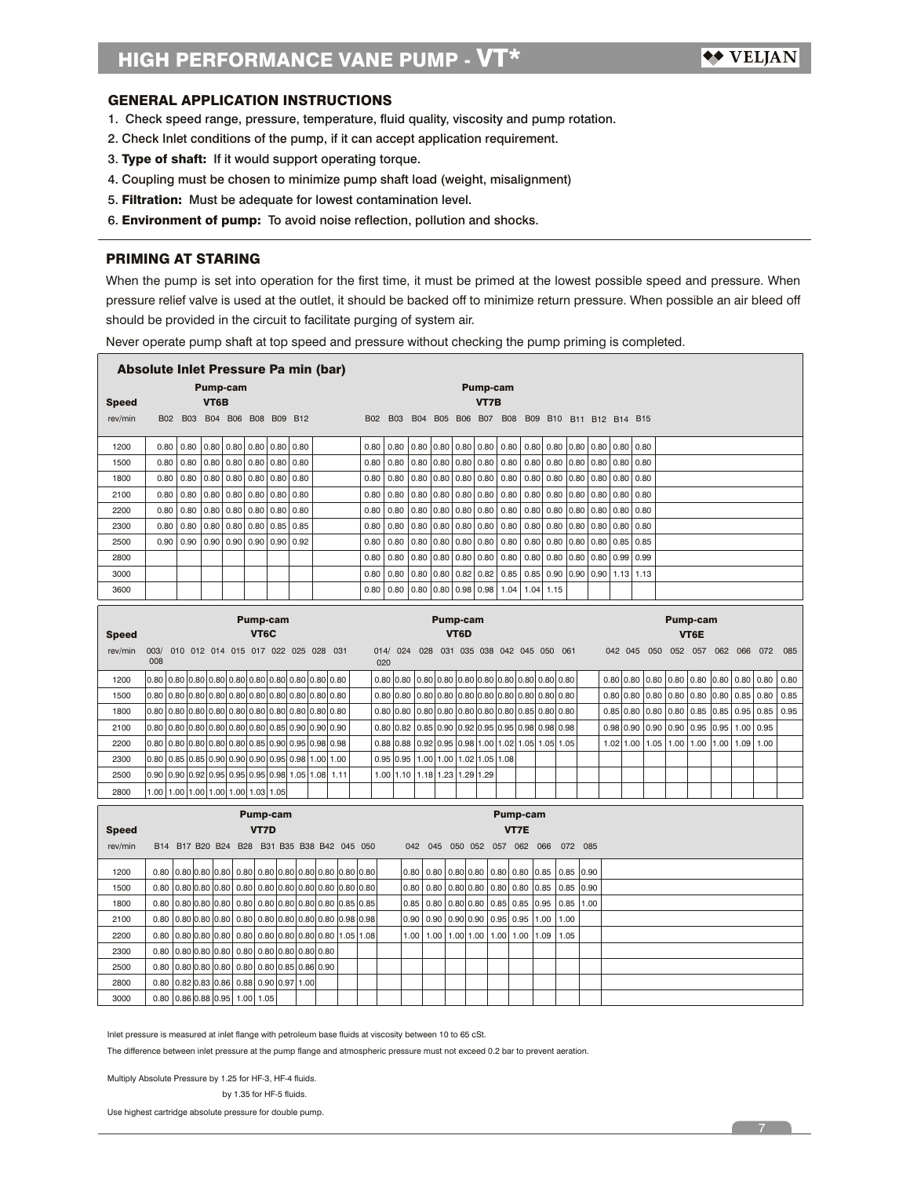### GENERAL APPLICATION INSTRUCTIONS

- 1. Check speed range, pressure, temperature, fluid quality, viscosity and pump rotation.
- 2. Check Inlet conditions of the pump, if it can accept application requirement.
- 3. Type of shaft: If it would support operating torque.
- 4. Coupling must be chosen to minimize pump shaft load (weight, misalignment)
- 5. Filtration: Must be adequate for lowest contamination level.
- 6. Environment of pump: To avoid noise reflection, pollution and shocks.

### PRIMING AT STARING

When the pump is set into operation for the first time, it must be primed at the lowest possible speed and pressure. When pressure relief valve is used at the outlet, it should be backed off to minimize return pressure. When possible an air bleed off should be provided in the circuit to facilitate purging of system air.

Never operate pump shaft at top speed and pressure without checking the pump priming is completed.

|                            | Absolute Inlet Pressure Pa min (bar) |                                     |             |      |                 |                |                     |      |                                                                |                                             |             |           |            |                   |                       |      |                |      |                                           |      |                                                  |                         |      |      |           |                  |      |          |      |      |      |      |
|----------------------------|--------------------------------------|-------------------------------------|-------------|------|-----------------|----------------|---------------------|------|----------------------------------------------------------------|---------------------------------------------|-------------|-----------|------------|-------------------|-----------------------|------|----------------|------|-------------------------------------------|------|--------------------------------------------------|-------------------------|------|------|-----------|------------------|------|----------|------|------|------|------|
|                            |                                      |                                     |             |      | <b>Pump-cam</b> |                |                     |      |                                                                |                                             |             |           |            |                   |                       |      | Pump-cam       |      |                                           |      |                                                  |                         |      |      |           |                  |      |          |      |      |      |      |
| Speed                      |                                      |                                     |             | VT6B |                 |                |                     |      |                                                                |                                             |             |           |            |                   |                       |      |                | VT7B |                                           |      |                                                  |                         |      |      |           |                  |      |          |      |      |      |      |
| rev/min                    | B02                                  | <b>B03</b>                          |             |      |                 |                | B04 B06 B08 B09 B12 |      |                                                                |                                             | <b>B02</b>  |           | <b>B03</b> | <b>B04</b>        | B05 B06 B07 B08       |      |                |      |                                           |      |                                                  | B09 B10 B11 B12 B14 B15 |      |      |           |                  |      |          |      |      |      |      |
| 1200                       | 0.80                                 | 0.80                                |             | 0.80 | 0.80            | 0.80           | 0.80                | 0.80 |                                                                |                                             | 0.80        |           | 0.80       | 0.80              | 0.80                  | 0.80 |                | 0.80 | 0.80                                      | 0.80 | 0.80                                             | 0.80                    |      | 0.80 | 0.80      | 0.80             |      |          |      |      |      |      |
| 1500                       | 0.80                                 | 0.80                                |             | 0.80 | 0.80            | 0.80           | 0.80                | 0.80 |                                                                |                                             | 0.80        |           | 0.80       | 0.80              | 0.80                  | 0.80 |                | 0.80 | 0.80                                      | 0.80 | 0.80                                             | 0.80                    |      | 0.80 | 0.80      | 0.80             |      |          |      |      |      |      |
| 1800                       | 0.80                                 | 0.80                                |             | 0.80 | 0.80            | 0.80           | 0.80                | 0.80 |                                                                |                                             | 0.80        |           | 0.80       | 0.80              | 0.80                  | 0.80 |                | 0.80 | 0.80                                      | 0.80 | 0.80                                             | 0.80                    |      | 0.80 | 0.80      | 0.80             |      |          |      |      |      |      |
| 2100                       | 0.80                                 | 0.80                                |             | 0.80 | 0.80            | 0.80           | 0.80                | 0.80 |                                                                |                                             | 0.80        |           | 0.80       | 0.80              | 0.80                  | 0.80 |                | 0.80 | 0.80                                      | 0.80 | 0.80                                             | 0.80                    |      | 0.80 | 0.80      | 0.80             |      |          |      |      |      |      |
| 2200                       | 0.80                                 | 0.80                                |             | 0.80 | 0.80            | 0.80           | 0.80                | 0.80 |                                                                |                                             | 0.80        |           | 0.80       | 0.80              | 0.80                  | 0.80 |                | 0.80 | 0.80                                      | 0.80 | 0.80                                             | 0.80                    |      | 0.80 | 0.80      | 0.80             |      |          |      |      |      |      |
| 2300                       | 0.80                                 | 0.80                                |             | 0.80 | 0.80            | 0.80           | 0.85                | 0.85 |                                                                |                                             | 0.80        |           | 0.80       | 0.80              | 0.80                  | 0.80 |                | 0.80 | 0.80                                      | 0.80 | 0.80                                             | 0.80                    |      | 0.80 | 0.80      | 0.80             |      |          |      |      |      |      |
| 2500                       | 0.90                                 | 0.90                                |             | 0.90 | 0.90            | 0.90           | 0.90                | 0.92 |                                                                |                                             | 0.80        |           | 0.80       | 0.80              | 0.80                  | 0.80 |                | 0.80 | 0.80                                      | 0.80 | 0.80                                             | 0.80                    |      | 0.80 | 0.85      | 0.85             |      |          |      |      |      |      |
| 2800                       |                                      |                                     |             |      |                 |                |                     |      |                                                                |                                             | 0.80        |           | 0.80       | 0.80              | 0.80                  | 0.80 |                | 0.80 | 0.80                                      | 0.80 | 0.80                                             | 0.80                    |      | 0.80 | 0.99      | 0.99             |      |          |      |      |      |      |
| 3000                       |                                      |                                     |             |      |                 |                |                     |      |                                                                |                                             | 0.80        |           | 0.80       | 0.80              | 0.80                  | 0.82 |                | 0.82 | 0.85                                      | 0.85 | 0.90                                             | 0.90                    |      | 0.90 | 1.13      | 1.13             |      |          |      |      |      |      |
| 3600                       |                                      |                                     |             |      |                 |                |                     |      |                                                                |                                             | 0.80        |           | 0.80       | 0.80              | 0.80                  | 0.98 |                | 0.98 | 1.04                                      | 1.04 | 1.15                                             |                         |      |      |           |                  |      |          |      |      |      |      |
|                            |                                      |                                     |             |      |                 |                | <b>Pump-cam</b>     |      |                                                                |                                             |             |           |            |                   | <b>Pump-cam</b>       |      |                |      |                                           |      |                                                  |                         |      |      |           |                  |      | Pump-cam |      |      |      |      |
| VT <sub>6</sub> C<br>Speed |                                      |                                     |             |      |                 |                |                     |      |                                                                |                                             |             |           |            | VT <sub>6</sub> D |                       |      |                |      |                                           |      |                                                  |                         |      |      |           | VT6E             |      |          |      |      |      |      |
| rev/min                    | 003/                                 | 010 012 014 015 017 022 025 028 031 |             |      |                 |                |                     |      |                                                                |                                             |             | 014/      | 024        |                   |                       |      |                |      | 028 031 035 038 042 045 050               |      |                                                  | 061                     |      |      | 042 045   | 050              |      | 052 057  | 062  | 066  | 072  | 085  |
|                            | 008                                  |                                     |             |      |                 |                |                     |      |                                                                |                                             |             | 020       |            |                   |                       |      |                |      |                                           |      |                                                  |                         |      |      |           |                  |      |          |      |      |      |      |
| 1200                       | 0.80                                 | 0.80                                |             |      |                 |                |                     |      | $0.80 \, 0.80 \, 0.80 \, 0.80 \, 0.80 \, 0.80 \, 0.80 \, 0.80$ |                                             |             | 0.80 0.80 |            |                   |                       |      |                |      |                                           |      | $0.80$ 0.80 $0.80$ 0.80 0.80 0.80 0.80 0.80 0.80 |                         |      |      |           | $0.80$ 0.80 0.80 | 0.80 | 0.80     | 0.80 | 0.80 | 0.80 | 0.80 |
| 1500                       | 0.80                                 | 0.80                                |             |      |                 |                |                     |      | $0.80 \, 0.80 \, 0.80 \, 0.80 \, 0.80 \, 0.80 \, 0.80 \, 0.80$ |                                             |             | 0.80 0.80 |            |                   |                       |      |                |      |                                           |      | $0.80$ 0.80 $0.80$ 0.80 0.80 0.80 0.80 0.80 0.80 |                         |      |      | 0.80 0.80 | 0.80             | 0.80 | 0.80     | 0.80 | 0.85 | 0.80 | 0.85 |
| 1800                       | 0.80                                 | 0.80                                |             |      |                 |                |                     |      | $0.80 \, 0.80 \, 0.80 \, 0.80 \, 0.80 \, 0.80 \, 0.80 \, 0.80$ |                                             |             | 0.80 0.80 |            |                   |                       |      |                |      | $0.80$ 0.80 0.80 0.80 0.80 0.80 0.85 0.80 |      |                                                  | 0.80                    |      | 0.85 | 0.80      | 0.80             | 0.80 | 0.85     | 0.85 | 0.95 | 0.85 | 0.95 |
| 2100                       | 0.80                                 | 0.80                                |             |      |                 |                |                     |      | $0.80 0.80 0.80 0.80 0.85 0.90 0.90 0.90$                      |                                             |             | 0.80 0.82 |            |                   | $0.85$ 0.90 0.92 0.95 |      |                |      | $0.95$ 0.98 0.98                          |      |                                                  | 0.98                    |      | 0.98 | 0.90      | 0.90             | 0.90 | 0.95     | 0.95 | 1.00 | 0.95 |      |
| 2200                       | 0.80                                 | 0.80                                |             |      |                 |                |                     |      | $0.80 0.80 0.80 0.85 0.90 0.95 0.98 0.98$                      |                                             |             | 0.88      | 0.88       |                   | 0.92 0.95             | 0.98 |                | 1.00 | 1.02                                      |      | $1.05$ 1.05                                      | 1.05                    |      | 1.02 | 1.00      | 1.05             | 1.00 | 1.00     | 1.00 | 1.09 | 1.00 |      |
| 2300                       | 0.80                                 | 0.85                                | 0.85        | 0.90 |                 | 0.90 0.90      | 0.95                | 0.98 | 1.00                                                           | 1.00                                        |             | 0.95      | 0.95       | 1.00              | 1.00                  |      | 1.02           | 1.05 | 1.08                                      |      |                                                  |                         |      |      |           |                  |      |          |      |      |      |      |
| 2500                       | 0.90                                 | 0.90                                | 0.92        | 0.95 |                 | $0.95$ 0.95    | 0.98                | 1.05 | 1.08                                                           | 1.11                                        |             | 1.00      | 1.10       | 1.18              | 1.23                  | 1.29 |                | 1.29 |                                           |      |                                                  |                         |      |      |           |                  |      |          |      |      |      |      |
| 2800                       | 1.00                                 | 1.00                                | $1.00$ 1.00 |      |                 | 1.00 1.03 1.05 |                     |      |                                                                |                                             |             |           |            |                   |                       |      |                |      |                                           |      |                                                  |                         |      |      |           |                  |      |          |      |      |      |      |
|                            |                                      |                                     |             |      |                 |                | <b>Pump-cam</b>     |      |                                                                |                                             |             |           |            |                   |                       |      |                |      | <b>Pump-cam</b>                           |      |                                                  |                         |      |      |           |                  |      |          |      |      |      |      |
| Speed                      |                                      |                                     |             |      |                 | <b>VT7D</b>    |                     |      |                                                                |                                             |             |           |            |                   |                       |      |                |      | <b>VT7E</b>                               |      |                                                  |                         |      |      |           |                  |      |          |      |      |      |      |
| rev/min                    |                                      |                                     |             |      |                 |                |                     |      |                                                                | B14 B17 B20 B24 B28 B31 B35 B38 B42 045 050 |             |           | 042        |                   | 045                   |      |                |      | 050 052 057 062 066                       |      |                                                  | 072 085                 |      |      |           |                  |      |          |      |      |      |      |
| 1200                       | 0.80                                 | 0.80 0.80 0.80                      |             |      | 0.80            |                |                     |      |                                                                | 0.80 0.80 0.80 0.80 0.80 0.80               |             |           | 0.80       |                   | 0.80                  |      | 0.80 0.80 0.80 |      | 0.80                                      |      | 0.85                                             | 0.85                    | 0.90 |      |           |                  |      |          |      |      |      |      |
| 1500                       | 0.80                                 | 0.80 0.80                           |             | 0.80 | 0.80            |                |                     |      | 0.80 0.80 0.80 0.80                                            |                                             | 0.80 0.80   |           | 0.80       |                   | 0.80                  |      | 0.80 0.80      | 0.80 | 0.80                                      |      | 0.85                                             | 0.85                    | 0.90 |      |           |                  |      |          |      |      |      |      |
| 1800                       | 0.80                                 | 0.80 0.80                           |             | 0.80 | 0.80            |                |                     |      | 0.80 0.80 0.80 0.80                                            |                                             | 0.85 0.85   |           | 0.85       |                   | 0.80                  |      | 0.80 0.80      | 0.85 | 0.85                                      |      | 0.95                                             | 0.85                    | 1.00 |      |           |                  |      |          |      |      |      |      |
| 2100                       | 0.80                                 | 0.80 0.80 0.80                      |             |      |                 |                |                     |      | 0.80   0.80   0.80   0.80   0.80                               |                                             | 0.98 0.98   |           | 0.90       |                   | 0.90                  |      | 0.90 0.90      | 0.95 | 0.95                                      |      | 1.00                                             | 1.00                    |      |      |           |                  |      |          |      |      |      |      |
| 2200                       | 0.80                                 | 0.80 0.80                           |             | 0.80 | 0.80            |                |                     |      | 0.80 0.80 0.80 0.80                                            |                                             | $1.05$ 1.08 |           | 1.00       |                   | 1.00                  |      | 1.00 1.00      | 1.00 | 1.00                                      |      | 1.09                                             | 1.05                    |      |      |           |                  |      |          |      |      |      |      |
| 2300                       | 0.80                                 | 0.80 0.80                           |             | 0.80 | 0.80            |                | 0.80 0.80 0.80      |      | 0.80                                                           |                                             |             |           |            |                   |                       |      |                |      |                                           |      |                                                  |                         |      |      |           |                  |      |          |      |      |      |      |
| 2500                       | 0.80                                 | 0.80 0.80                           |             | 0.80 | 0.80            |                | 0.80<br> 0.85       | 0.86 | 0.90                                                           |                                             |             |           |            |                   |                       |      |                |      |                                           |      |                                                  |                         |      |      |           |                  |      |          |      |      |      |      |
| 2800                       | 0.80                                 | 0.82 0.83                           |             | 0.86 | 0.88            |                | 0.90 0.97           | 1.00 |                                                                |                                             |             |           |            |                   |                       |      |                |      |                                           |      |                                                  |                         |      |      |           |                  |      |          |      |      |      |      |
| 3000                       | 0.80                                 | 0.86 0.88 0.95                      |             |      | 1.00            |                | 1.05                |      |                                                                |                                             |             |           |            |                   |                       |      |                |      |                                           |      |                                                  |                         |      |      |           |                  |      |          |      |      |      |      |

Inlet pressure is measured at inlet flange with petroleum base fluids at viscosity between 10 to 65 cSt.

The difference between inlet pressure at the pump flange and atmospheric pressure must not exceed 0.2 bar to prevent aeration.

Multiply Absolute Pressure by 1.25 for HF-3, HF-4 fluids.

by 1.35 for HF-5 fluids.

Use highest cartridge absolute pressure for double pump.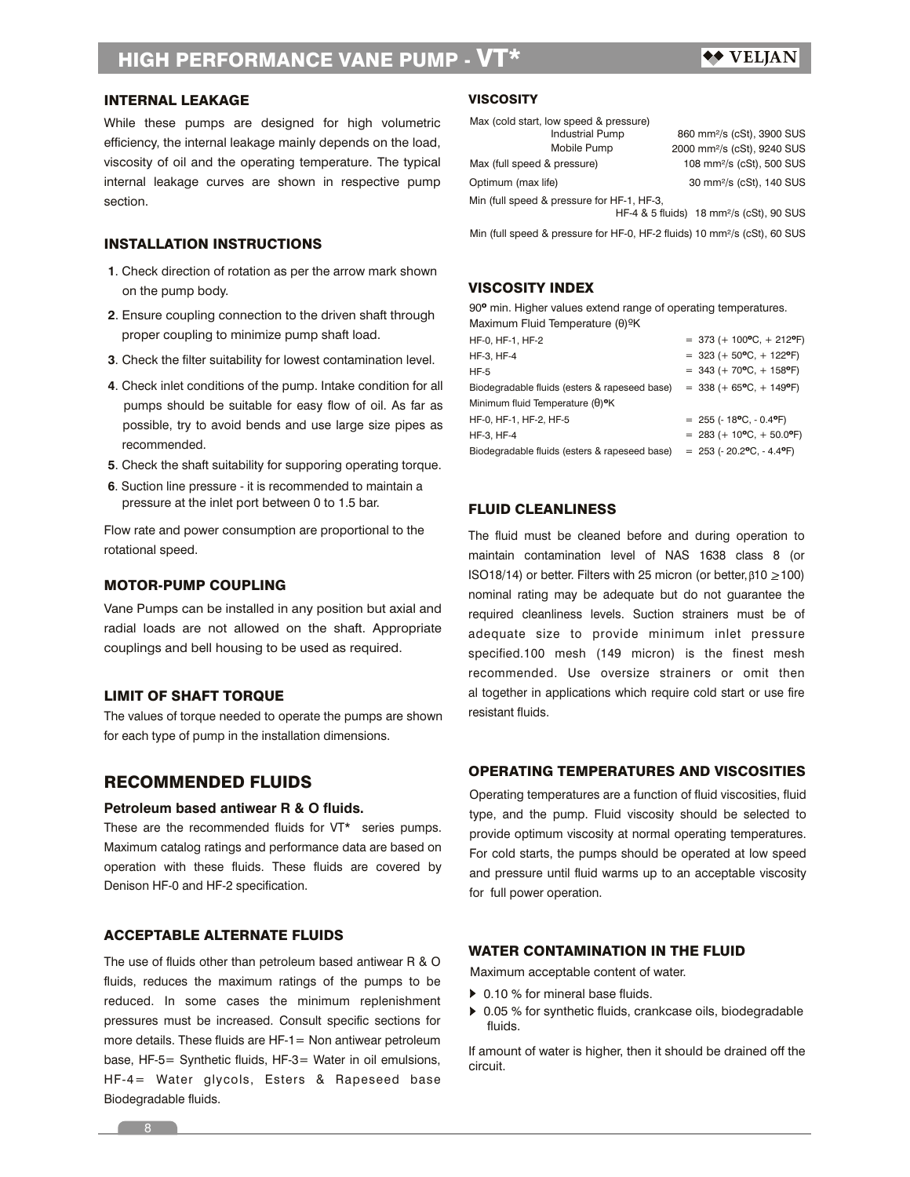# ◆◆ VELJAN

# INTERNAL LEAKAGE

While these pumps are designed for high volumetric efficiency, the internal leakage mainly depends on the load, viscosity of oil and the operating temperature. The typical internal leakage curves are shown in respective pump section.

# INSTALLATION INSTRUCTIONS

- **1**. Check direction of rotation as per the arrow mark shown on the pump body.
- **2**. Ensure coupling connection to the driven shaft through proper coupling to minimize pump shaft load.
- **3**. Check the filter suitability for lowest contamination level.
- **4**. Check inlet conditions of the pump. Intake condition for all pumps should be suitable for easy flow of oil. As far as possible, try to avoid bends and use large size pipes as recommended.
- **5**. Check the shaft suitability for supporing operating torque.
- pressure at the inlet port between 0 to 1.5 bar. **6**. Suction line pressure - it is recommended to maintain a

Flow rate and power consumption are proportional to the rotational speed.

### MOTOR-PUMP COUPLING

Vane Pumps can be installed in any position but axial and radial loads are not allowed on the shaft. Appropriate couplings and bell housing to be used as required.

# LIMIT OF SHAFT TORQUE

The values of torque needed to operate the pumps are shown for each type of pump in the installation dimensions.

### RECOMMENDED FLUIDS

### **Petroleum based antiwear R & O fluids.**

These are the recommended fluids for VT\* series pumps. Maximum catalog ratings and performance data are based on operation with these fluids. These fluids are covered by Denison HF-0 and HF-2 specification.

# ACCEPTABLE ALTERNATE FLUIDS

The use of fluids other than petroleum based antiwear R & O fluids, reduces the maximum ratings of the pumps to be reduced. In some cases the minimum replenishment pressures must be increased. Consult specific sections for more details. These fluids are HF-1= Non antiwear petroleum base, HF-5= Synthetic fluids, HF-3= Water in oil emulsions, HF-4= Water glycols, Esters & Rapeseed base Biodegradable fluids.

# **VISCOSITY**

| Max (cold start, low speed & pressure)     |                                                      |
|--------------------------------------------|------------------------------------------------------|
| <b>Industrial Pump</b>                     | 860 mm <sup>2</sup> /s (cSt), 3900 SUS               |
| Mobile Pump                                | 2000 mm <sup>2</sup> /s (cSt), 9240 SUS              |
| Max (full speed & pressure)                | 108 mm <sup>2</sup> /s (cSt), 500 SUS                |
| Optimum (max life)                         | 30 mm <sup>2</sup> /s (cSt), 140 SUS                 |
| Min (full speed & pressure for HF-1, HF-3, |                                                      |
|                                            | HF-4 & 5 fluids) 18 mm <sup>2</sup> /s (cSt), 90 SUS |
|                                            |                                                      |

Min (full speed & pressure for HF-0, HF-2 fluids) 10 mm²/s (cSt), 60 SUS

# VISCOSITY INDEX

90º min. Higher values extend range of operating temperatures. Maximum Fluid Temperature (θ)ºK

| HF-0, HF-1, HF-2                              | $=$ 373 (+ 100°C, + 212°F)               |
|-----------------------------------------------|------------------------------------------|
| HF-3, HF-4                                    | $=$ 323 (+ 50°C, + 122°F)                |
| <b>HF-5</b>                                   | $=$ 343 (+ 70°C, + 158°F)                |
| Biodegradable fluids (esters & rapeseed base) | $=$ 338 (+ 65°C, + 149°F)                |
| Minimum fluid Temperature (θ) <sup>ο</sup> Κ  |                                          |
| HF-0, HF-1, HF-2, HF-5                        | $= 255 (-18^{\circ}C, -0.4^{\circ}F)$    |
| HF-3. HF-4                                    | $= 283 (+ 10^{\circ}C, + 50.0^{\circ}F)$ |
| Biodegradable fluids (esters & rapeseed base) | $= 253 (-20.2$ °C, $- 4.4$ °F)           |

### FLUID CLEANLINESS

The fluid must be cleaned before and during operation to maintain contamination level of NAS 1638 class 8 (or ISO18/14) or better. Filters with 25 micron (or better,  $\beta$ 10  $\geq$  100) nominal rating may be adequate but do not guarantee the required cleanliness levels. Suction strainers must be of adequate size to provide minimum inlet pressure specified.100 mesh (149 micron) is the finest mesh recommended. Use oversize strainers or omit then al together in applications which require cold start or use fire resistant fluids.

# OPERATING TEMPERATURES AND VISCOSITIES

Operating temperatures are a function of fluid viscosities, fluid type, and the pump. Fluid viscosity should be selected to provide optimum viscosity at normal operating temperatures. For cold starts, the pumps should be operated at low speed and pressure until fluid warms up to an acceptable viscosity for full power operation.

### WATER CONTAMINATION IN THE FLUID

Maximum acceptable content of water.

- ▶ 0.10 % for mineral base fluids.
- ▶ 0.05 % for synthetic fluids, crankcase oils, biodegradable fluids.

If amount of water is higher, then it should be drained off the circuit.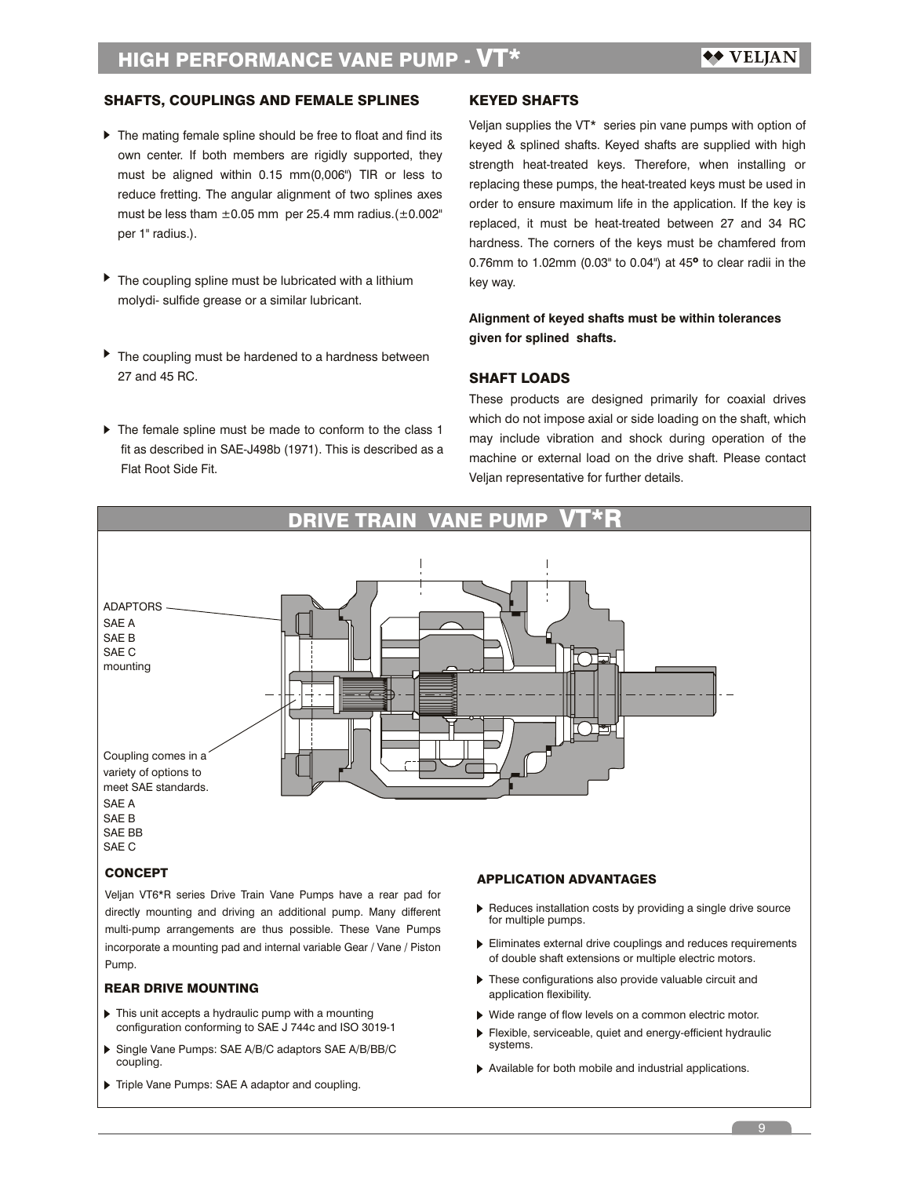# SHAFTS, COUPLINGS AND FEMALE SPLINES

- ▶ The mating female spline should be free to float and find its own center. If both members are rigidly supported, they must be aligned within 0.15 mm(0,006") TIR or less to reduce fretting. The angular alignment of two splines axes must be less tham  $\pm 0.05$  mm per 25.4 mm radius.( $\pm 0.002$ " per 1" radius.).
- $\blacktriangleright$  The coupling spline must be lubricated with a lithium molydi- sulfide grease or a similar lubricant.
- ▶ The coupling must be hardened to a hardness between 27 and 45 RC.
- $\triangleright$  The female spline must be made to conform to the class 1 fit as described in SAE-J498b (1971). This is described as a Flat Root Side Fit.

## KEYED SHAFTS

Veljan supplies the VT\* series pin vane pumps with option of keyed & splined shafts. Keyed shafts are supplied with high strength heat-treated keys. Therefore, when installing or replacing these pumps, the heat-treated keys must be used in order to ensure maximum life in the application. If the key is replaced, it must be heat-treated between 27 and 34 RC hardness. The corners of the keys must be chamfered from 0.76mm to 1.02mm (0.03" to 0.04") at 45º to clear radii in the key way.

# **Alignment of keyed shafts must be within tolerances given for splined shafts.**

### SHAFT LOADS

These products are designed primarily for coaxial drives which do not impose axial or side loading on the shaft, which may include vibration and shock during operation of the machine or external load on the drive shaft. Please contact Veljan representative for further details.



Veljan VT6\*R series Drive Train Vane Pumps have a rear pad for directly mounting and driving an additional pump. Many different multi-pump arrangements are thus possible. These Vane Pumps incorporate a mounting pad and internal variable Gear / Vane / Piston Pump.

### REAR DRIVE MOUNTING

- $\blacktriangleright$  This unit accepts a hydraulic pump with a mounting configuration conforming to SAE J 744c and ISO 3019-1
- Single Vane Pumps: SAE A/B/C adaptors SAE A/B/BB/C coupling.
- Triple Vane Pumps: SAE A adaptor and coupling.
- Reduces installation costs by providing a single drive source for multiple pumps.
- of double shaft extensions or multiple electric motors. Eliminates external drive couplings and reduces requirements
- $\blacktriangleright$  These configurations also provide valuable circuit and application flexibility.
- Wide range of flow levels on a common electric motor.
- Flexible, serviceable, quiet and energy-efficient hydraulic systems.
- Available for both mobile and industrial applications.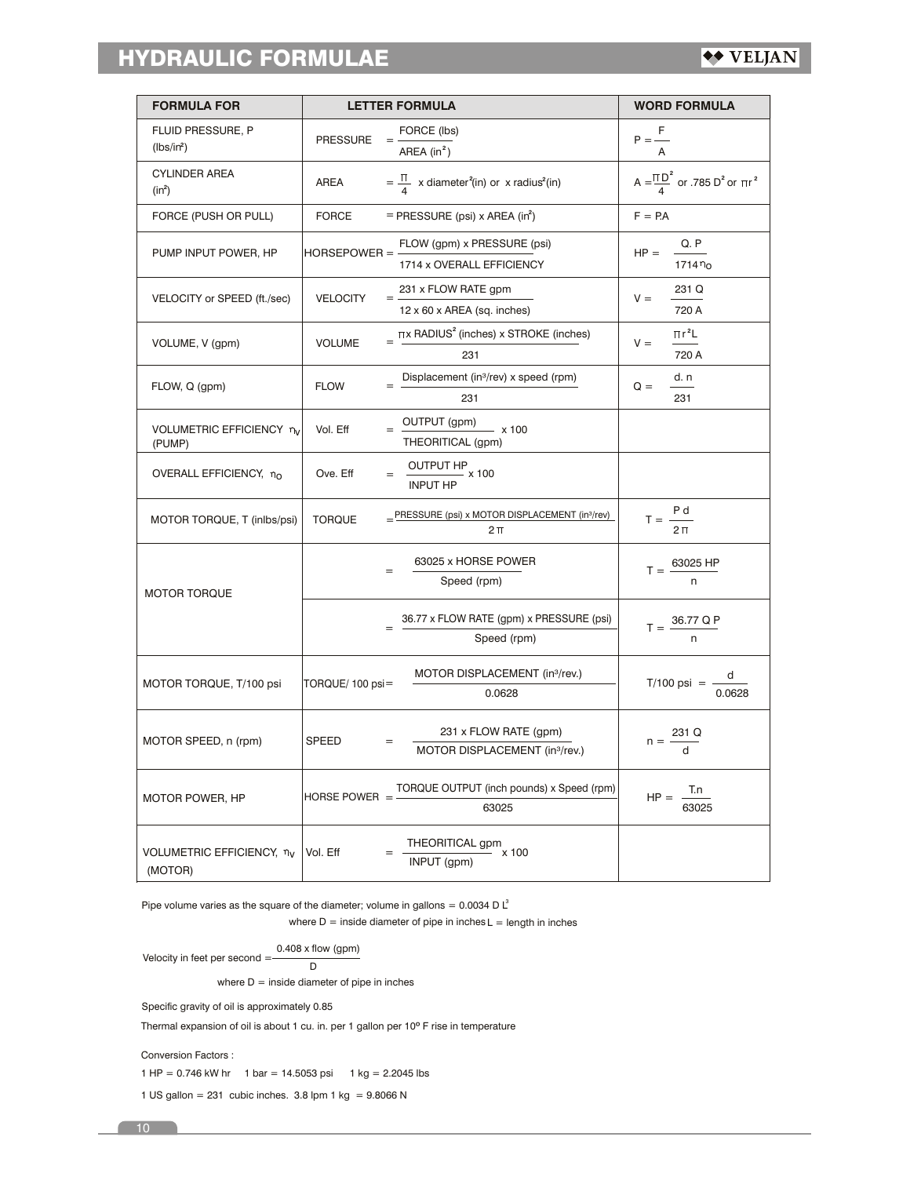# HYDRAULIC FORMULAE

| <b>FORMULA FOR</b>                   |                     | <b>LETTER FORMULA</b>                                                       | <b>WORD FORMULA</b>                                |  |  |  |  |
|--------------------------------------|---------------------|-----------------------------------------------------------------------------|----------------------------------------------------|--|--|--|--|
| FLUID PRESSURE, P<br>$(lbs/in^2)$    | <b>PRESSURE</b>     | FORCE (lbs)<br>AREA $(in^2)$                                                | $P = \frac{F}{\sqrt{2}}$                           |  |  |  |  |
| <b>CYLINDER AREA</b><br>$(in^2)$     | <b>AREA</b>         | $=\frac{\Pi}{4}$ x diameter <sup>2</sup> (in) or x radius <sup>2</sup> (in) | $A = \frac{\Pi D^2}{4}$ or .785 $D^2$ or $\Pi r^2$ |  |  |  |  |
| FORCE (PUSH OR PULL)                 | <b>FORCE</b>        | $=$ PRESSURE (psi) x AREA (in <sup>2</sup> )                                | $F = PA$                                           |  |  |  |  |
| PUMP INPUT POWER, HP                 | <b>HORSEPOWER =</b> | FLOW (gpm) x PRESSURE (psi)<br>1714 x OVERALL EFFICIENCY                    | Q. P<br>$HP =$<br>1714 $n_{0}$                     |  |  |  |  |
| VELOCITY or SPEED (ft./sec)          | <b>VELOCITY</b>     | 231 x FLOW RATE gpm<br>12 x 60 x AREA (sq. inches)                          | 231 Q<br>$V =$<br>720 A                            |  |  |  |  |
| VOLUME, V (gpm)                      | <b>VOLUME</b>       | $\pi$ x RADIUS <sup>2</sup> (inches) x STROKE (inches)<br>231               | $\pi r^2L$<br>$V =$<br>720 A                       |  |  |  |  |
| FLOW, Q (gpm)                        | <b>FLOW</b>         | Displacement (in <sup>3</sup> /rev) x speed (rpm)<br>231                    | d. n<br>$Q =$<br>231                               |  |  |  |  |
| VOLUMETRIC EFFICIENCY nv<br>(PUMP)   | Vol. Eff            | OUTPUT (gpm)<br>$- x 100$<br>THEORITICAL (gpm)                              |                                                    |  |  |  |  |
| OVERALL EFFICIENCY, no               | Ove. Eff            | $\underbrace{\text{OUTPUT HP}}$ x 100<br><b>INPUT HP</b>                    |                                                    |  |  |  |  |
| MOTOR TORQUE, T (inlbs/psi)          | <b>TORQUE</b>       | _PRESSURE (psi) x MOTOR DISPLACEMENT (in3/rev)<br>$2\Pi$                    | $T = \frac{P d}{T}$<br>$2\pi$                      |  |  |  |  |
| <b>MOTOR TORQUE</b>                  |                     | 63025 x HORSE POWER<br>Speed (rpm)                                          | $T = \frac{63025 \text{ HP}}{4}$                   |  |  |  |  |
|                                      |                     | 36.77 x FLOW RATE (gpm) x PRESSURE (psi)<br>Speed (rpm)                     | $T = \frac{36.77 \text{ Q P}}{4}$                  |  |  |  |  |
| MOTOR TORQUE, T/100 psi              | TORQUE/100 psi=     | MOTOR DISPLACEMENT (in3/rev.)<br>0.0628                                     | T/100 psi = $\frac{d}{0.0628}$                     |  |  |  |  |
| MOTOR SPEED, n (rpm)                 | <b>SPEED</b>        | 231 x FLOW RATE (gpm)<br>MOTOR DISPLACEMENT (in3/rev.)                      | $n = \frac{231 \text{ Q}}{d}$                      |  |  |  |  |
| <b>MOTOR POWER, HP</b>               | HORSE POWER $=$     | TORQUE OUTPUT (inch pounds) x Speed (rpm)<br>63025                          | T.n<br>$HP =$<br>63025                             |  |  |  |  |
| VOLUMETRIC EFFICIENCY, nv<br>(MOTOR) | Vol. Eff            | THEORITICAL gpm<br>x 100<br>INPUT (gpm)                                     |                                                    |  |  |  |  |

Pipe volume varies as the square of the diameter; volume in gallons = 0.0034 D  $L^3$ 

where  $D =$  inside diameter of pipe in inches  $L =$  length in inches

Velocity in feet per second = 
$$
\frac{0.408 \times \text{flow (gpm)}}{D}
$$

where  $D =$  inside diameter of pipe in inches

Specific gravity of oil is approximately 0.85

Thermal expansion of oil is about 1 cu. in. per 1 gallon per 10º F rise in temperature

Conversion Factors :

1 HP =  $0.746$  kW hr 1 bar = 14.5053 psi 1 kg = 2.2045 lbs

1 US gallon =  $231$  cubic inches.  $3.8$  lpm 1 kg =  $9.8066$  N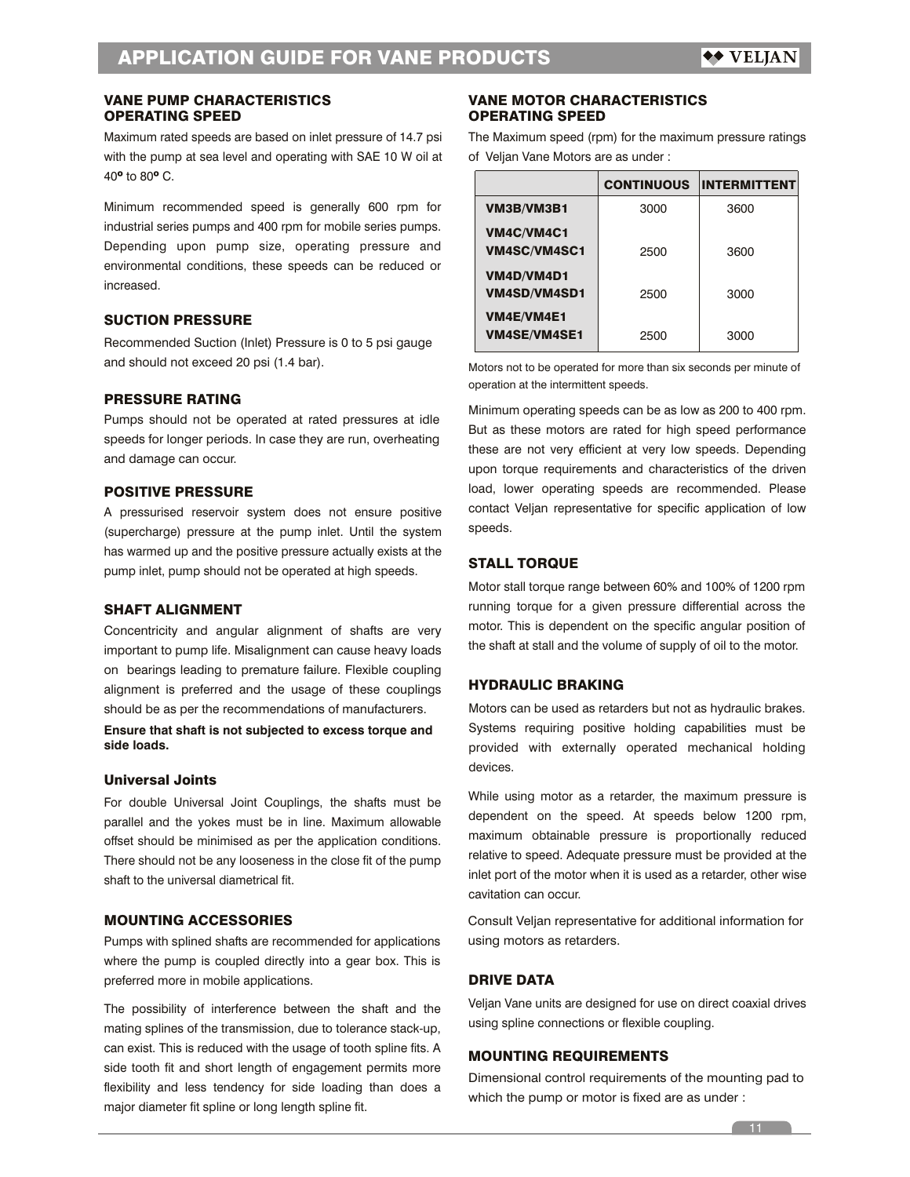# OPERATING SPEED VANE PUMP CHARACTERISTICS

Maximum rated speeds are based on inlet pressure of 14.7 psi with the pump at sea level and operating with SAE 10 W oil at 40º to 80º C.

Minimum recommended speed is generally 600 rpm for industrial series pumps and 400 rpm for mobile series pumps. Depending upon pump size, operating pressure and environmental conditions, these speeds can be reduced or increased.

# SUCTION PRESSURE

Recommended Suction (Inlet) Pressure is 0 to 5 psi gauge and should not exceed 20 psi (1.4 bar).

# PRESSURE RATING

Pumps should not be operated at rated pressures at idle speeds for longer periods. In case they are run, overheating and damage can occur.

# POSITIVE PRESSURE

A pressurised reservoir system does not ensure positive (supercharge) pressure at the pump inlet. Until the system has warmed up and the positive pressure actually exists at the pump inlet, pump should not be operated at high speeds.

### SHAFT ALIGNMENT

Concentricity and angular alignment of shafts are very important to pump life. Misalignment can cause heavy loads on bearings leading to premature failure. Flexible coupling alignment is preferred and the usage of these couplings should be as per the recommendations of manufacturers.

**Ensure that shaft is not subjected to excess torque and side loads.**

### Universal Joints

For double Universal Joint Couplings, the shafts must be parallel and the yokes must be in line. Maximum allowable offset should be minimised as per the application conditions. There should not be any looseness in the close fit of the pump shaft to the universal diametrical fit.

# MOUNTING ACCESSORIES

Pumps with splined shafts are recommended for applications where the pump is coupled directly into a gear box. This is preferred more in mobile applications.

The possibility of interference between the shaft and the mating splines of the transmission, due to tolerance stack-up, can exist. This is reduced with the usage of tooth spline fits. A side tooth fit and short length of engagement permits more flexibility and less tendency for side loading than does a major diameter fit spline or long length spline fit.

### OPERATING SPEED VANE MOTOR CHARACTERISTICS

The Maximum speed (rpm) for the maximum pressure ratings of Veljan Vane Motors are as under :

|                                          | <b>CONTINUOUS</b> | <b>INTERMITTENT</b> |
|------------------------------------------|-------------------|---------------------|
| VM3B/VM3B1                               | 3000              | 3600                |
| VM4C/VM4C1<br>VM4SC/VM4SC1               | 2500              | 3600                |
| VM4D/VM4D1<br>VM4SD/VM4SD1               | 2500              | 3000                |
| <b>VM4E/VM4E1</b><br><b>VM4SE/VM4SE1</b> | 2500              | 3000                |

Motors not to be operated for more than six seconds per minute of operation at the intermittent speeds.

Minimum operating speeds can be as low as 200 to 400 rpm. But as these motors are rated for high speed performance these are not very efficient at very low speeds. Depending upon torque requirements and characteristics of the driven load, lower operating speeds are recommended. Please contact Veljan representative for specific application of low speeds.

# STALL TORQUE

Motor stall torque range between 60% and 100% of 1200 rpm running torque for a given pressure differential across the motor. This is dependent on the specific angular position of the shaft at stall and the volume of supply of oil to the motor.

# HYDRAULIC BRAKING

Motors can be used as retarders but not as hydraulic brakes. Systems requiring positive holding capabilities must be provided with externally operated mechanical holding devices.

While using motor as a retarder, the maximum pressure is dependent on the speed. At speeds below 1200 rpm, maximum obtainable pressure is proportionally reduced relative to speed. Adequate pressure must be provided at the inlet port of the motor when it is used as a retarder, other wise cavitation can occur.

Consult Veljan representative for additional information for using motors as retarders.

# DRIVE DATA

Veljan Vane units are designed for use on direct coaxial drives using spline connections or flexible coupling.

# MOUNTING REQUIREMENTS

Dimensional control requirements of the mounting pad to which the pump or motor is fixed are as under :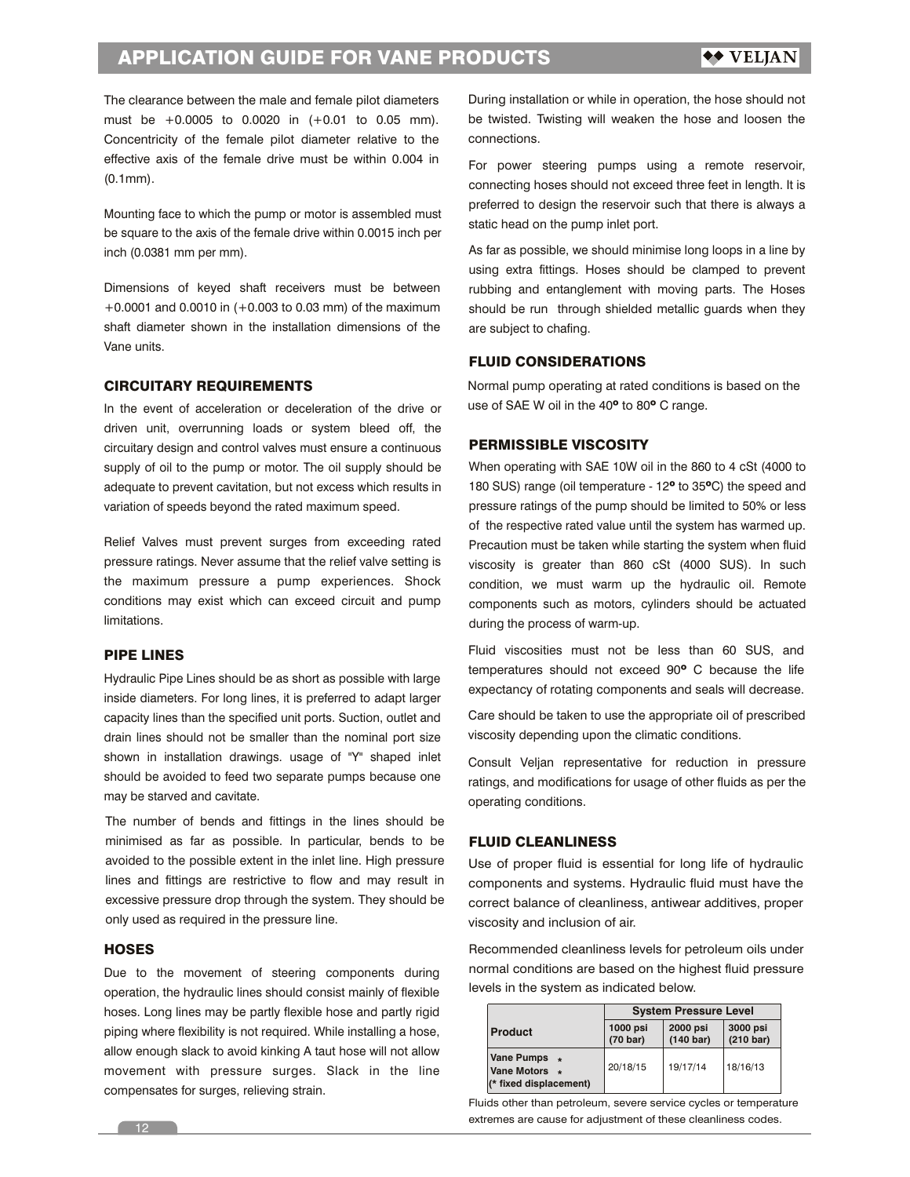# APPLICATION GUIDE FOR VANE PRODUCTS

The clearance between the male and female pilot diameters must be +0.0005 to 0.0020 in (+0.01 to 0.05 mm). Concentricity of the female pilot diameter relative to the effective axis of the female drive must be within 0.004 in (0.1mm).

Mounting face to which the pump or motor is assembled must be square to the axis of the female drive within 0.0015 inch per inch (0.0381 mm per mm).

Dimensions of keyed shaft receivers must be between +0.0001 and 0.0010 in (+0.003 to 0.03 mm) of the maximum shaft diameter shown in the installation dimensions of the Vane units.

### CIRCUITARY REQUIREMENTS

In the event of acceleration or deceleration of the drive or driven unit, overrunning loads or system bleed off, the circuitary design and control valves must ensure a continuous supply of oil to the pump or motor. The oil supply should be adequate to prevent cavitation, but not excess which results in variation of speeds beyond the rated maximum speed.

Relief Valves must prevent surges from exceeding rated pressure ratings. Never assume that the relief valve setting is the maximum pressure a pump experiences. Shock conditions may exist which can exceed circuit and pump limitations.

# PIPE LINES

Hydraulic Pipe Lines should be as short as possible with large inside diameters. For long lines, it is preferred to adapt larger capacity lines than the specified unit ports. Suction, outlet and drain lines should not be smaller than the nominal port size shown in installation drawings. usage of "Y" shaped inlet should be avoided to feed two separate pumps because one may be starved and cavitate.

The number of bends and fittings in the lines should be minimised as far as possible. In particular, bends to be avoided to the possible extent in the inlet line. High pressure lines and fittings are restrictive to flow and may result in excessive pressure drop through the system. They should be only used as required in the pressure line.

### **HOSES**

Due to the movement of steering components during operation, the hydraulic lines should consist mainly of flexible hoses. Long lines may be partly flexible hose and partly rigid piping where flexibility is not required. While installing a hose, allow enough slack to avoid kinking A taut hose will not allow movement with pressure surges. Slack in the line compensates for surges, relieving strain.

During installation or while in operation, the hose should not be twisted. Twisting will weaken the hose and loosen the connections.

For power steering pumps using a remote reservoir, connecting hoses should not exceed three feet in length. It is preferred to design the reservoir such that there is always a static head on the pump inlet port.

As far as possible, we should minimise long loops in a line by using extra fittings. Hoses should be clamped to prevent rubbing and entanglement with moving parts. The Hoses should be run through shielded metallic guards when they are subject to chafing.

# FLUID CONSIDERATIONS

Normal pump operating at rated conditions is based on the use of SAE W oil in the 40<sup>°</sup> to 80<sup>°</sup> C range.

### PERMISSIBLE VISCOSITY

When operating with SAE 10W oil in the 860 to 4 cSt (4000 to 180 SUS) range (oil temperature - 12º to 35ºC) the speed and pressure ratings of the pump should be limited to 50% or less of the respective rated value until the system has warmed up. Precaution must be taken while starting the system when fluid viscosity is greater than 860 cSt (4000 SUS). In such condition, we must warm up the hydraulic oil. Remote components such as motors, cylinders should be actuated during the process of warm-up.

Fluid viscosities must not be less than 60 SUS, and temperatures should not exceed 90º C because the life expectancy of rotating components and seals will decrease.

Care should be taken to use the appropriate oil of prescribed viscosity depending upon the climatic conditions.

Consult Veljan representative for reduction in pressure ratings, and modifications for usage of other fluids as per the operating conditions.

### FLUID CLEANLINESS

Use of proper fluid is essential for long life of hydraulic components and systems. Hydraulic fluid must have the correct balance of cleanliness, antiwear additives, proper viscosity and inclusion of air.

Recommended cleanliness levels for petroleum oils under normal conditions are based on the highest fluid pressure levels in the system as indicated below.

|                                                              | <b>System Pressure Level</b>   |                                 |                                 |  |  |  |  |  |  |
|--------------------------------------------------------------|--------------------------------|---------------------------------|---------------------------------|--|--|--|--|--|--|
| <b>Product</b>                                               | 1000 psi<br>$(70 \text{ bar})$ | 2000 psi<br>$(140 \text{ bar})$ | 3000 psi<br>$(210 \text{ bar})$ |  |  |  |  |  |  |
| <b>Vane Pumps</b><br>Vane Motors *<br>(* fixed displacement) | 20/18/15                       | 19/17/14                        | 18/16/13                        |  |  |  |  |  |  |

Fluids other than petroleum, severe service cycles or temperature extremes are cause for adjustment of these cleanliness codes.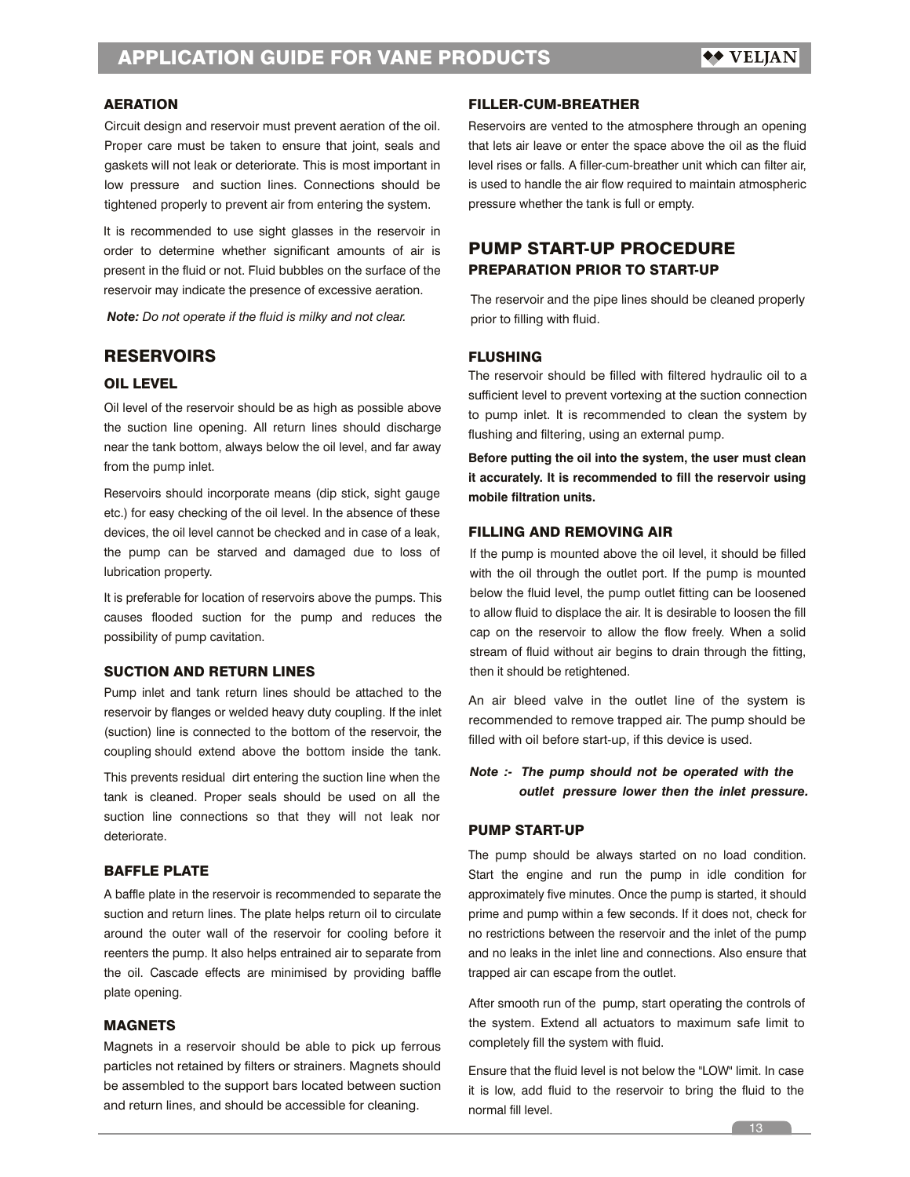### AERATION

Circuit design and reservoir must prevent aeration of the oil. Proper care must be taken to ensure that joint, seals and gaskets will not leak or deteriorate. This is most important in low pressure and suction lines. Connections should be tightened properly to prevent air from entering the system.

It is recommended to use sight glasses in the reservoir in order to determine whether significant amounts of air is present in the fluid or not. Fluid bubbles on the surface of the reservoir may indicate the presence of excessive aeration.

*Note: Do not operate if the fluid is milky and not clear.*

# **RESERVOIRS**

### OIL LEVEL

Oil level of the reservoir should be as high as possible above the suction line opening. All return lines should discharge near the tank bottom, always below the oil level, and far away from the pump inlet.

Reservoirs should incorporate means (dip stick, sight gauge etc.) for easy checking of the oil level. In the absence of these devices, the oil level cannot be checked and in case of a leak, the pump can be starved and damaged due to loss of lubrication property.

It is preferable for location of reservoirs above the pumps. This causes flooded suction for the pump and reduces the possibility of pump cavitation.

# SUCTION AND RETURN LINES

Pump inlet and tank return lines should be attached to the reservoir by flanges or welded heavy duty coupling. If the inlet (suction) line is connected to the bottom of the reservoir, the coupling should extend above the bottom inside the tank.

This prevents residual dirt entering the suction line when the tank is cleaned. Proper seals should be used on all the suction line connections so that they will not leak nor deteriorate.

### BAFFLE PLATE

A baffle plate in the reservoir is recommended to separate the suction and return lines. The plate helps return oil to circulate around the outer wall of the reservoir for cooling before it reenters the pump. It also helps entrained air to separate from the oil. Cascade effects are minimised by providing baffle plate opening.

### MAGNETS

Magnets in a reservoir should be able to pick up ferrous particles not retained by filters or strainers. Magnets should be assembled to the support bars located between suction and return lines, and should be accessible for cleaning.

### FILLER-CUM-BREATHER

Reservoirs are vented to the atmosphere through an opening that lets air leave or enter the space above the oil as the fluid level rises or falls. A filler-cum-breather unit which can filter air, is used to handle the air flow required to maintain atmospheric pressure whether the tank is full or empty.

# PUMP START-UP PROCEDURE PREPARATION PRIOR TO START-UP

The reservoir and the pipe lines should be cleaned properly prior to filling with fluid.

### FLUSHING

The reservoir should be filled with filtered hydraulic oil to a sufficient level to prevent vortexing at the suction connection to pump inlet. It is recommended to clean the system by flushing and filtering, using an external pump.

**Before putting the oil into the system, the user must clean it accurately. It is recommended to fill the reservoir using mobile filtration units.**

# FILLING AND REMOVING AIR

If the pump is mounted above the oil level, it should be filled with the oil through the outlet port. If the pump is mounted below the fluid level, the pump outlet fitting can be loosened to allow fluid to displace the air. It is desirable to loosen the fill cap on the reservoir to allow the flow freely. When a solid stream of fluid without air begins to drain through the fitting, then it should be retightened.

An air bleed valve in the outlet line of the system is recommended to remove trapped air. The pump should be filled with oil before start-up, if this device is used.

# *Note :- The pump should not be operated with the outlet pressure lower then the inlet pressure.*

### PUMP START-UP

The pump should be always started on no load condition. Start the engine and run the pump in idle condition for approximately five minutes. Once the pump is started, it should prime and pump within a few seconds. If it does not, check for no restrictions between the reservoir and the inlet of the pump and no leaks in the inlet line and connections. Also ensure that trapped air can escape from the outlet.

After smooth run of the pump, start operating the controls of the system. Extend all actuators to maximum safe limit to completely fill the system with fluid.

Ensure that the fluid level is not below the "LOW" limit. In case it is low, add fluid to the reservoir to bring the fluid to the normal fill level.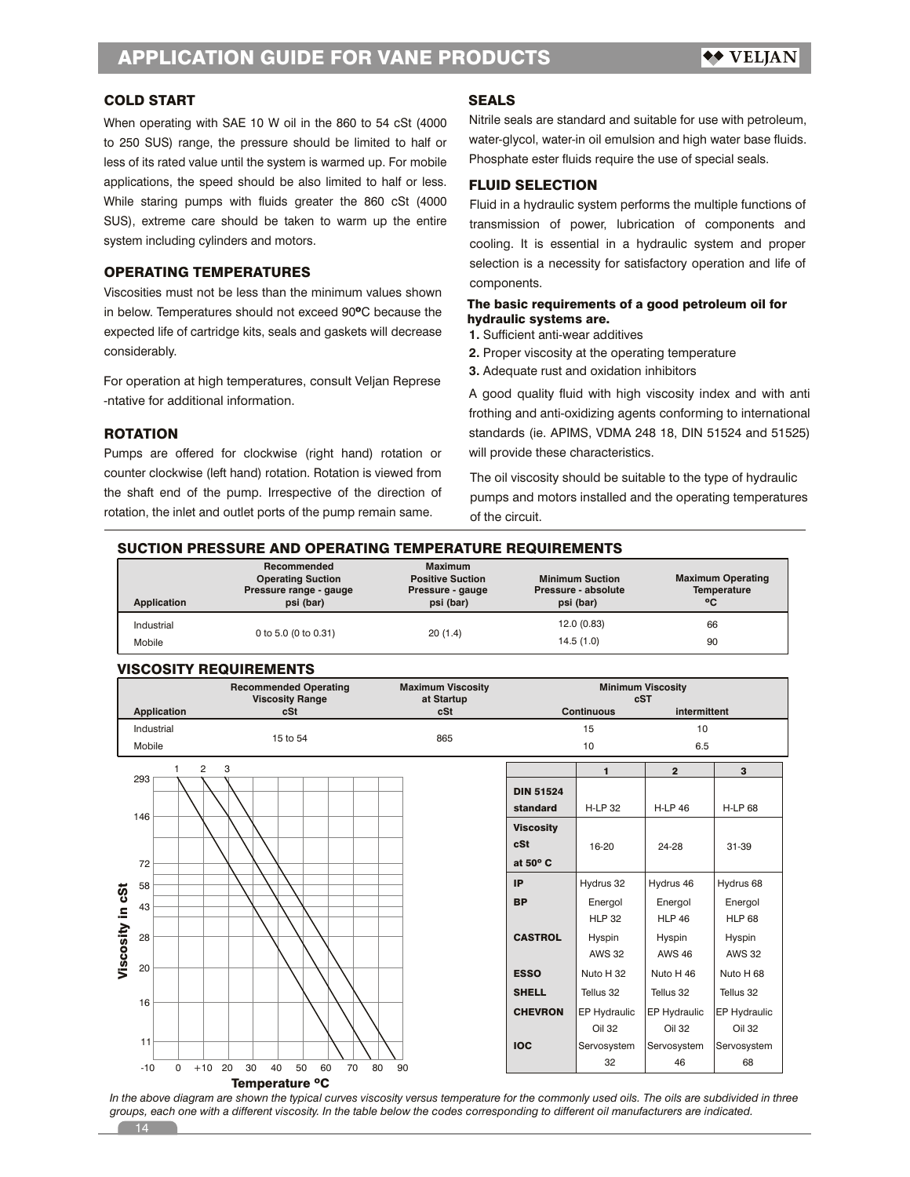# COLD START

When operating with SAE 10 W oil in the 860 to 54 cSt (4000 to 250 SUS) range, the pressure should be limited to half or less of its rated value until the system is warmed up. For mobile applications, the speed should be also limited to half or less. While staring pumps with fluids greater the 860 cSt (4000 SUS), extreme care should be taken to warm up the entire system including cylinders and motors.

### OPERATING TEMPERATURES

Viscosities must not be less than the minimum values shown in below. Temperatures should not exceed 90ºC because the expected life of cartridge kits, seals and gaskets will decrease considerably.

For operation at high temperatures, consult Veljan Represe -ntative for additional information.

### ROTATION

Pumps are offered for clockwise (right hand) rotation or counter clockwise (left hand) rotation. Rotation is viewed from the shaft end of the pump. Irrespective of the direction of rotation, the inlet and outlet ports of the pump remain same.

### **SEALS**

Nitrile seals are standard and suitable for use with petroleum, water-glycol, water-in oil emulsion and high water base fluids. Phosphate ester fluids require the use of special seals.

### FLUID SELECTION

Fluid in a hydraulic system performs the multiple functions of transmission of power, lubrication of components and cooling. It is essential in a hydraulic system and proper selection is a necessity for satisfactory operation and life of components.

## The basic requirements of a good petroleum oil for hydraulic systems are.

- **1.** Sufficient anti-wear additives
- **2.** Proper viscosity at the operating temperature
- **3.** Adequate rust and oxidation inhibitors

A good quality fluid with high viscosity index and with anti frothing and anti-oxidizing agents conforming to international standards (ie. APIMS, VDMA 248 18, DIN 51524 and 51525) will provide these characteristics.

The oil viscosity should be suitable to the type of hydraulic pumps and motors installed and the operating temperatures of the circuit.

### SUCTION PRESSURE AND OPERATING TEMPERATURE REQUIREMENTS

| Application | Recommended<br><b>Operating Suction</b><br>Pressure range - gauge<br>psi (bar) | <b>Maximum</b><br><b>Positive Suction</b><br>Pressure - gauge<br>psi (bar) | <b>Minimum Suction</b><br>Pressure - absolute<br>psi (bar) | <b>Maximum Operating</b><br>Temperature<br>°C |
|-------------|--------------------------------------------------------------------------------|----------------------------------------------------------------------------|------------------------------------------------------------|-----------------------------------------------|
| Industrial  |                                                                                |                                                                            | 12.0(0.83)                                                 | 66                                            |
| Mobile      | 0 to 5.0 (0 to 0.31)                                                           | 20(1.4)                                                                    | 14.5(1.0)                                                  | 90                                            |

### VISCOSITY REQUIREMENTS

|                  |                     | <b>Recommended Operating</b><br><b>Viscosity Range</b> | <b>Maximum Viscosity</b><br>at Startup |                  | cST               | <b>Minimum Viscosity</b> |                |
|------------------|---------------------|--------------------------------------------------------|----------------------------------------|------------------|-------------------|--------------------------|----------------|
|                  | <b>Application</b>  | cSt                                                    | cSt                                    |                  | <b>Continuous</b> | intermittent             |                |
|                  | Industrial          | 15 to 54                                               | 865                                    |                  | 15                | 10                       |                |
|                  | Mobile              |                                                        |                                        |                  | 10                | 6.5                      |                |
|                  | $\overline{2}$      | 3                                                      |                                        |                  | $\blacksquare$    | $\overline{2}$           | 3              |
|                  | 293                 |                                                        |                                        | <b>DIN 51524</b> |                   |                          |                |
|                  |                     |                                                        |                                        | standard         | <b>H-LP 32</b>    | <b>H-LP 46</b>           | <b>H-LP 68</b> |
|                  | 146                 |                                                        |                                        | <b>Viscosity</b> |                   |                          |                |
|                  |                     |                                                        |                                        | cSt              | 16-20             | 24-28                    | 31-39          |
|                  | 72                  |                                                        |                                        | at 50° C         |                   |                          |                |
|                  | 58                  |                                                        |                                        | IP               | Hydrus 32         | Hydrus 46                | Hydrus 68      |
| Viscosity in cSt | 43                  |                                                        |                                        | <b>BP</b>        | Energol           | Energol                  | Energol        |
|                  |                     |                                                        |                                        |                  | <b>HLP 32</b>     | <b>HLP 46</b>            | <b>HLP 68</b>  |
|                  | 28                  |                                                        |                                        | <b>CASTROL</b>   | Hyspin            | Hyspin                   | Hyspin         |
|                  |                     |                                                        |                                        |                  | <b>AWS 32</b>     | <b>AWS 46</b>            | <b>AWS 32</b>  |
|                  | 20                  |                                                        |                                        | <b>ESSO</b>      | Nuto H 32         | Nuto H 46                | Nuto H 68      |
|                  | 16                  |                                                        |                                        | <b>SHELL</b>     | Tellus 32         | Tellus 32                | Tellus 32      |
|                  |                     |                                                        |                                        | <b>CHEVRON</b>   | EP Hydraulic      | EP Hydraulic             | EP Hydraulic   |
|                  | 11                  |                                                        |                                        |                  | <b>Oil 32</b>     | Oil 32                   | <b>Oil 32</b>  |
|                  |                     |                                                        |                                        | <b>IOC</b>       | Servosystem       | Servosystem              | Servosystem    |
|                  | $-10$<br>$+10$<br>0 | 20<br>30<br>40<br>50<br>60<br>70<br>80                 | 90                                     |                  | 32                | 46                       | 68             |

#### Temperature ºC

In the above diagram are shown the typical curves viscosity versus temperature for the commonly used oils. The oils are subdivided in three *groups, each one with a different viscosity. In the table below the codes corresponding to different oil manufacturers are indicated.*